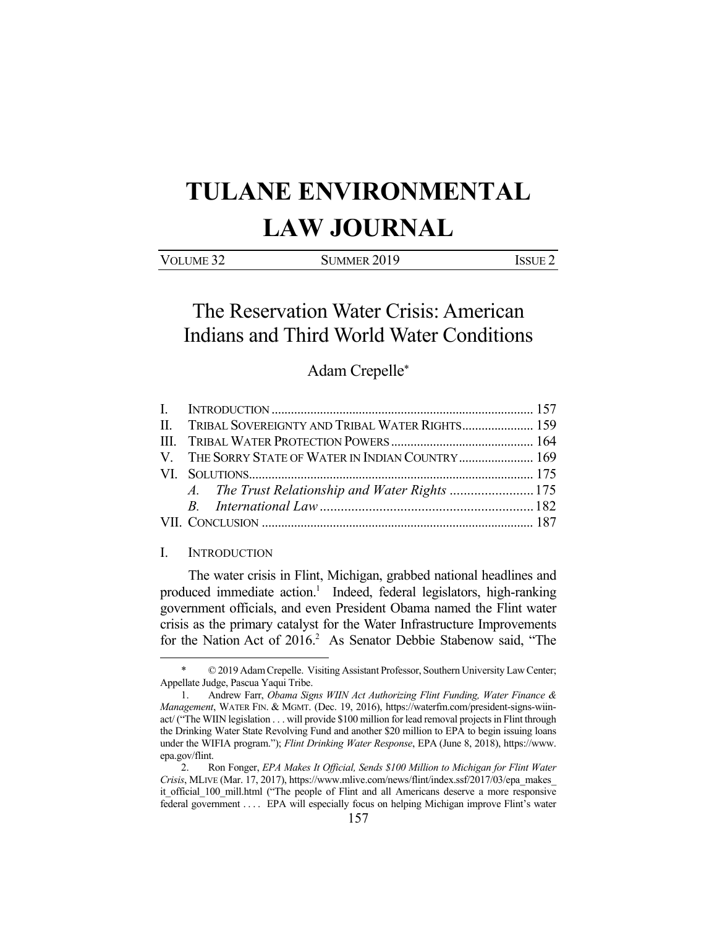# **TULANE ENVIRONMENTAL LAW JOURNAL**

| VOLUME <sub>32</sub> | SUMMER 2019 | ISSUE 2 |
|----------------------|-------------|---------|
|                      |             |         |

The Reservation Water Crisis: American Indians and Third World Water Conditions

## Adam Crepelle\*

| II. TRIBAL SOVEREIGNTY AND TRIBAL WATER RIGHTS 159 |  |
|----------------------------------------------------|--|
|                                                    |  |
| V. THE SORRY STATE OF WATER IN INDIAN COUNTRY 169  |  |
|                                                    |  |
|                                                    |  |
|                                                    |  |
|                                                    |  |

#### I. INTRODUCTION

1

 The water crisis in Flint, Michigan, grabbed national headlines and produced immediate action.<sup>1</sup> Indeed, federal legislators, high-ranking government officials, and even President Obama named the Flint water crisis as the primary catalyst for the Water Infrastructure Improvements for the Nation Act of 2016.<sup>2</sup> As Senator Debbie Stabenow said, "The

<sup>© 2019</sup> Adam Crepelle. Visiting Assistant Professor, Southern University Law Center; Appellate Judge, Pascua Yaqui Tribe.

 <sup>1.</sup> Andrew Farr, *Obama Signs WIIN Act Authorizing Flint Funding, Water Finance & Management*, WATER FIN. & MGMT. (Dec. 19, 2016), https://waterfm.com/president-signs-wiinact/ ("The WIIN legislation . . . will provide \$100 million for lead removal projects in Flint through the Drinking Water State Revolving Fund and another \$20 million to EPA to begin issuing loans under the WIFIA program."); *Flint Drinking Water Response*, EPA (June 8, 2018), https://www. epa.gov/flint.

 <sup>2.</sup> Ron Fonger, *EPA Makes It Official, Sends \$100 Million to Michigan for Flint Water Crisis*, MLIVE (Mar. 17, 2017), https://www.mlive.com/news/flint/index.ssf/2017/03/epa\_makes\_ it\_official\_100\_mill.html ("The people of Flint and all Americans deserve a more responsive federal government . . . . EPA will especially focus on helping Michigan improve Flint's water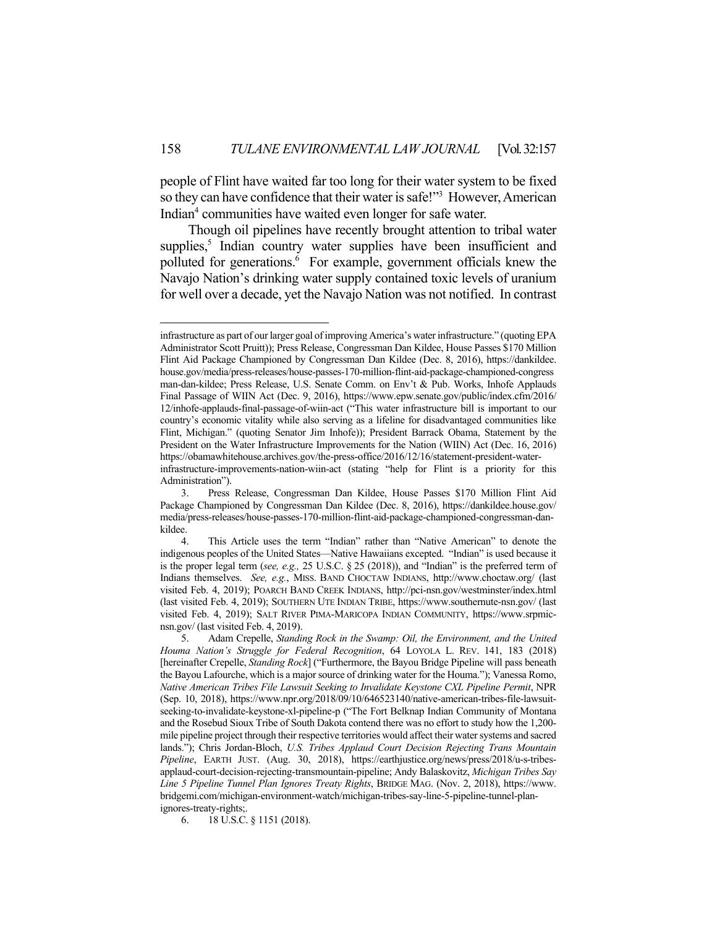people of Flint have waited far too long for their water system to be fixed so they can have confidence that their water is safe!"<sup>3</sup> However, American Indian<sup>4</sup> communities have waited even longer for safe water.

 Though oil pipelines have recently brought attention to tribal water supplies,<sup>5</sup> Indian country water supplies have been insufficient and polluted for generations.<sup>6</sup> For example, government officials knew the Navajo Nation's drinking water supply contained toxic levels of uranium for well over a decade, yet the Navajo Nation was not notified. In contrast

infrastructure as part of our larger goal of improving America's water infrastructure." (quoting EPA Administrator Scott Pruitt)); Press Release, Congressman Dan Kildee, House Passes \$170 Million Flint Aid Package Championed by Congressman Dan Kildee (Dec. 8, 2016), https://dankildee. house.gov/media/press-releases/house-passes-170-million-flint-aid-package-championed-congress man-dan-kildee; Press Release, U.S. Senate Comm. on Env't & Pub. Works, Inhofe Applauds Final Passage of WIIN Act (Dec. 9, 2016), https://www.epw.senate.gov/public/index.cfm/2016/ 12/inhofe-applauds-final-passage-of-wiin-act ("This water infrastructure bill is important to our country's economic vitality while also serving as a lifeline for disadvantaged communities like Flint, Michigan." (quoting Senator Jim Inhofe)); President Barrack Obama, Statement by the President on the Water Infrastructure Improvements for the Nation (WIIN) Act (Dec. 16, 2016) https://obamawhitehouse.archives.gov/the-press-office/2016/12/16/statement-president-waterinfrastructure-improvements-nation-wiin-act (stating "help for Flint is a priority for this Administration").

 <sup>3.</sup> Press Release, Congressman Dan Kildee, House Passes \$170 Million Flint Aid Package Championed by Congressman Dan Kildee (Dec. 8, 2016), https://dankildee.house.gov/ media/press-releases/house-passes-170-million-flint-aid-package-championed-congressman-dankildee.

 <sup>4.</sup> This Article uses the term "Indian" rather than "Native American" to denote the indigenous peoples of the United States—Native Hawaiians excepted. "Indian" is used because it is the proper legal term (*see, e.g.,* 25 U.S.C. § 25 (2018)), and "Indian" is the preferred term of Indians themselves. *See, e.g.*, MISS. BAND CHOCTAW INDIANS, http://www.choctaw.org/ (last visited Feb. 4, 2019); POARCH BAND CREEK INDIANS, http://pci-nsn.gov/westminster/index.html (last visited Feb. 4, 2019); SOUTHERN UTE INDIAN TRIBE, https://www.southernute-nsn.gov/ (last visited Feb. 4, 2019); SALT RIVER PIMA-MARICOPA INDIAN COMMUNITY, https://www.srpmicnsn.gov/ (last visited Feb. 4, 2019).

 <sup>5.</sup> Adam Crepelle, *Standing Rock in the Swamp: Oil, the Environment, and the United Houma Nation's Struggle for Federal Recognition*, 64 LOYOLA L. REV. 141, 183 (2018) [hereinafter Crepelle, *Standing Rock*] ("Furthermore, the Bayou Bridge Pipeline will pass beneath the Bayou Lafourche, which is a major source of drinking water for the Houma."); Vanessa Romo, *Native American Tribes File Lawsuit Seeking to Invalidate Keystone CXL Pipeline Permit*, NPR (Sep. 10, 2018), https://www.npr.org/2018/09/10/646523140/native-american-tribes-file-lawsuitseeking-to-invalidate-keystone-xl-pipeline-p ("The Fort Belknap Indian Community of Montana and the Rosebud Sioux Tribe of South Dakota contend there was no effort to study how the 1,200 mile pipeline project through their respective territories would affect their water systems and sacred lands."); Chris Jordan-Bloch, *U.S. Tribes Applaud Court Decision Rejecting Trans Mountain Pipeline*, EARTH JUST. (Aug. 30, 2018), https://earthjustice.org/news/press/2018/u-s-tribesapplaud-court-decision-rejecting-transmountain-pipeline; Andy Balaskovitz, *Michigan Tribes Say Line 5 Pipeline Tunnel Plan Ignores Treaty Rights*, BRIDGE MAG. (Nov. 2, 2018), https://www. bridgemi.com/michigan-environment-watch/michigan-tribes-say-line-5-pipeline-tunnel-planignores-treaty-rights;.

 <sup>6. 18</sup> U.S.C. § 1151 (2018).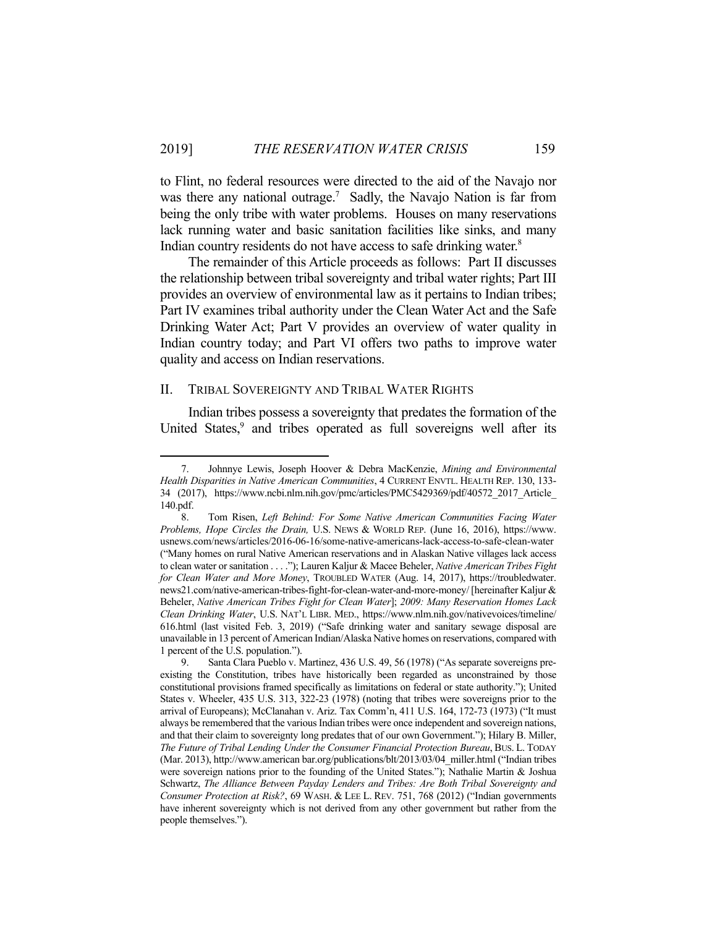to Flint, no federal resources were directed to the aid of the Navajo nor was there any national outrage.<sup>7</sup> Sadly, the Navajo Nation is far from being the only tribe with water problems. Houses on many reservations lack running water and basic sanitation facilities like sinks, and many Indian country residents do not have access to safe drinking water.<sup>8</sup>

 The remainder of this Article proceeds as follows: Part II discusses the relationship between tribal sovereignty and tribal water rights; Part III provides an overview of environmental law as it pertains to Indian tribes; Part IV examines tribal authority under the Clean Water Act and the Safe Drinking Water Act; Part V provides an overview of water quality in Indian country today; and Part VI offers two paths to improve water quality and access on Indian reservations.

#### II. TRIBAL SOVEREIGNTY AND TRIBAL WATER RIGHTS

1

 Indian tribes possess a sovereignty that predates the formation of the United States,<sup>9</sup> and tribes operated as full sovereigns well after its

 <sup>7.</sup> Johnnye Lewis, Joseph Hoover & Debra MacKenzie, *Mining and Environmental Health Disparities in Native American Communities*, 4 CURRENT ENVTL. HEALTH REP. 130, 133- 34 (2017), https://www.ncbi.nlm.nih.gov/pmc/articles/PMC5429369/pdf/40572\_2017\_Article\_ 140.pdf.

 <sup>8.</sup> Tom Risen, *Left Behind: For Some Native American Communities Facing Water Problems, Hope Circles the Drain,* U.S. NEWS & WORLD REP. (June 16, 2016), https://www. usnews.com/news/articles/2016-06-16/some-native-americans-lack-access-to-safe-clean-water ("Many homes on rural Native American reservations and in Alaskan Native villages lack access to clean water or sanitation . . . ."); Lauren Kaljur & Macee Beheler, *Native American Tribes Fight for Clean Water and More Money*, TROUBLED WATER (Aug. 14, 2017), https://troubledwater. news21.com/native-american-tribes-fight-for-clean-water-and-more-money/ [hereinafter Kaljur & Beheler, *Native American Tribes Fight for Clean Water*]; *2009: Many Reservation Homes Lack Clean Drinking Water*, U.S. NAT'L LIBR. MED., https://www.nlm.nih.gov/nativevoices/timeline/ 616.html (last visited Feb. 3, 2019) ("Safe drinking water and sanitary sewage disposal are unavailable in 13 percent of American Indian/Alaska Native homes on reservations, compared with 1 percent of the U.S. population.").

 <sup>9.</sup> Santa Clara Pueblo v. Martinez, 436 U.S. 49, 56 (1978) ("As separate sovereigns preexisting the Constitution, tribes have historically been regarded as unconstrained by those constitutional provisions framed specifically as limitations on federal or state authority."); United States v. Wheeler, 435 U.S. 313, 322-23 (1978) (noting that tribes were sovereigns prior to the arrival of Europeans); McClanahan v. Ariz. Tax Comm'n, 411 U.S. 164, 172-73 (1973) ("It must always be remembered that the various Indian tribes were once independent and sovereign nations, and that their claim to sovereignty long predates that of our own Government."); Hilary B. Miller, *The Future of Tribal Lending Under the Consumer Financial Protection Bureau*, BUS. L. TODAY (Mar. 2013), http://www.american bar.org/publications/blt/2013/03/04\_miller.html ("Indian tribes were sovereign nations prior to the founding of the United States."); Nathalie Martin & Joshua Schwartz, *The Alliance Between Payday Lenders and Tribes: Are Both Tribal Sovereignty and Consumer Protection at Risk?*, 69 WASH. & LEE L. REV. 751, 768 (2012) ("Indian governments have inherent sovereignty which is not derived from any other government but rather from the people themselves.").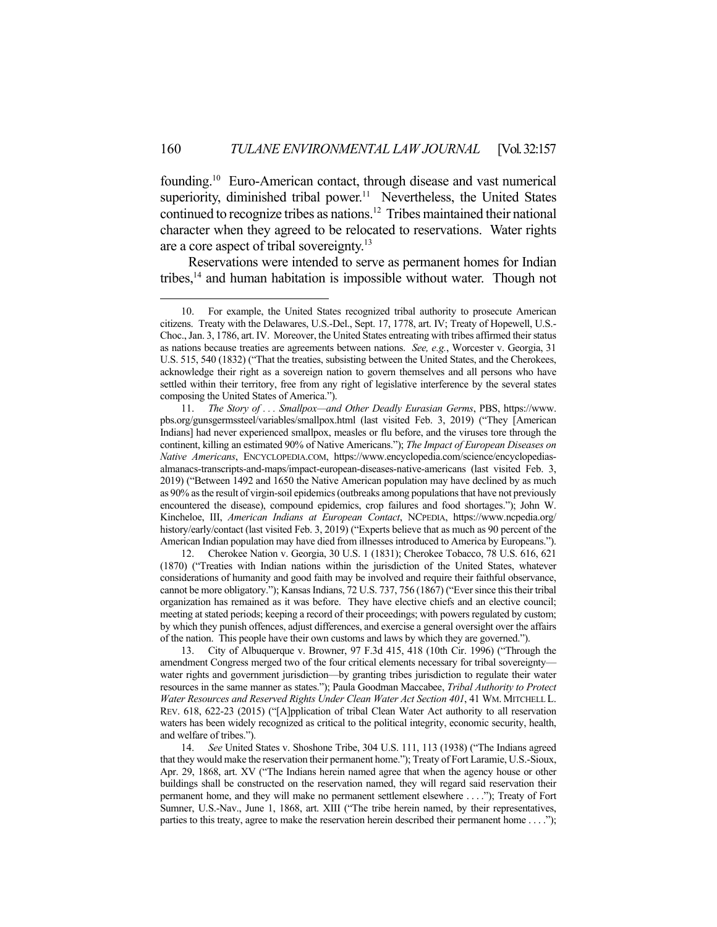founding.10 Euro-American contact, through disease and vast numerical superiority, diminished tribal power.<sup>11</sup> Nevertheless, the United States continued to recognize tribes as nations.12 Tribes maintained their national character when they agreed to be relocated to reservations. Water rights are a core aspect of tribal sovereignty.<sup>13</sup>

 Reservations were intended to serve as permanent homes for Indian tribes,14 and human habitation is impossible without water. Though not

<u>.</u>

 12. Cherokee Nation v. Georgia, 30 U.S. 1 (1831); Cherokee Tobacco, 78 U.S. 616, 621 (1870) ("Treaties with Indian nations within the jurisdiction of the United States, whatever considerations of humanity and good faith may be involved and require their faithful observance, cannot be more obligatory."); Kansas Indians, 72 U.S. 737, 756 (1867) ("Ever since this their tribal organization has remained as it was before. They have elective chiefs and an elective council; meeting at stated periods; keeping a record of their proceedings; with powers regulated by custom; by which they punish offences, adjust differences, and exercise a general oversight over the affairs of the nation. This people have their own customs and laws by which they are governed.").

 13. City of Albuquerque v. Browner, 97 F.3d 415, 418 (10th Cir. 1996) ("Through the amendment Congress merged two of the four critical elements necessary for tribal sovereignty water rights and government jurisdiction—by granting tribes jurisdiction to regulate their water resources in the same manner as states."); Paula Goodman Maccabee, *Tribal Authority to Protect Water Resources and Reserved Rights Under Clean Water Act Section 401*, 41 WM. MITCHELL L. REV. 618, 622-23 (2015) ("[A]pplication of tribal Clean Water Act authority to all reservation waters has been widely recognized as critical to the political integrity, economic security, health, and welfare of tribes.").

 14. *See* United States v. Shoshone Tribe, 304 U.S. 111, 113 (1938) ("The Indians agreed that they would make the reservation their permanent home."); Treaty of Fort Laramie, U.S.-Sioux, Apr. 29, 1868, art. XV ("The Indians herein named agree that when the agency house or other buildings shall be constructed on the reservation named, they will regard said reservation their permanent home, and they will make no permanent settlement elsewhere . . . ."); Treaty of Fort Sumner, U.S.-Nav., June 1, 1868, art. XIII ("The tribe herein named, by their representatives, parties to this treaty, agree to make the reservation herein described their permanent home . . . .");

 <sup>10.</sup> For example, the United States recognized tribal authority to prosecute American citizens. Treaty with the Delawares, U.S.-Del., Sept. 17, 1778, art. IV; Treaty of Hopewell, U.S.- Choc., Jan. 3, 1786, art. IV. Moreover, the United States entreating with tribes affirmed their status as nations because treaties are agreements between nations. *See, e.g.*, Worcester v. Georgia, 31 U.S. 515, 540 (1832) ("That the treaties, subsisting between the United States, and the Cherokees, acknowledge their right as a sovereign nation to govern themselves and all persons who have settled within their territory, free from any right of legislative interference by the several states composing the United States of America.").

 <sup>11.</sup> *The Story of . . . Smallpox—and Other Deadly Eurasian Germs*, PBS, https://www. pbs.org/gunsgermssteel/variables/smallpox.html (last visited Feb. 3, 2019) ("They [American Indians] had never experienced smallpox, measles or flu before, and the viruses tore through the continent, killing an estimated 90% of Native Americans."); *The Impact of European Diseases on Native Americans*, ENCYCLOPEDIA.COM, https://www.encyclopedia.com/science/encyclopediasalmanacs-transcripts-and-maps/impact-european-diseases-native-americans (last visited Feb. 3, 2019) ("Between 1492 and 1650 the Native American population may have declined by as much as 90% as the result of virgin-soil epidemics (outbreaks among populations that have not previously encountered the disease), compound epidemics, crop failures and food shortages."); John W. Kincheloe, III, *American Indians at European Contact*, NCPEDIA, https://www.ncpedia.org/ history/early/contact (last visited Feb. 3, 2019) ("Experts believe that as much as 90 percent of the American Indian population may have died from illnesses introduced to America by Europeans.").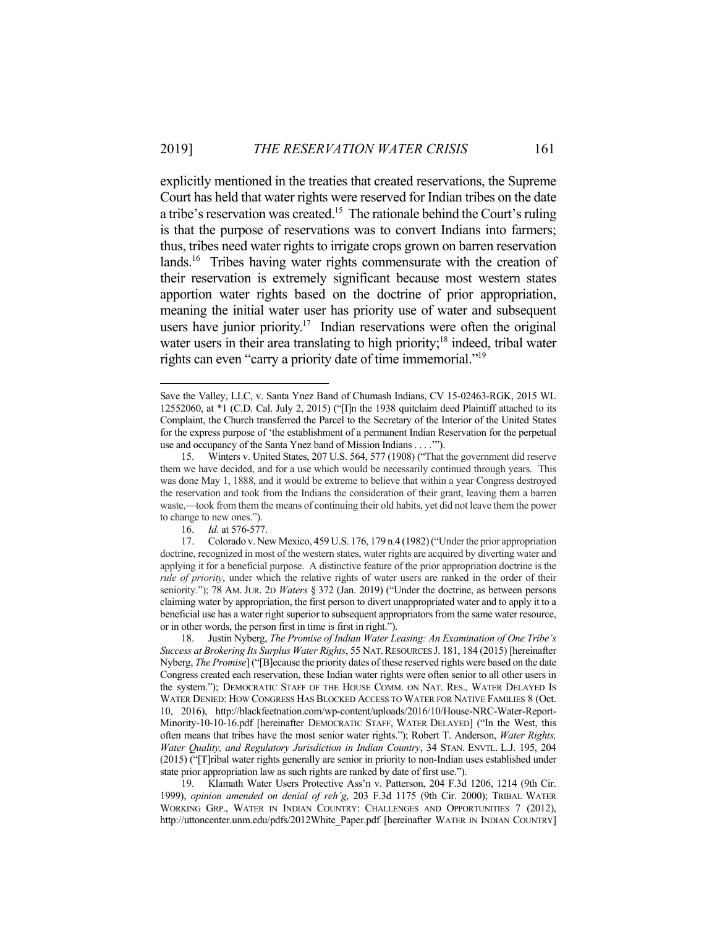explicitly mentioned in the treaties that created reservations, the Supreme Court has held that water rights were reserved for Indian tribes on the date a tribe's reservation was created.<sup>15</sup> The rationale behind the Court's ruling is that the purpose of reservations was to convert Indians into farmers; thus, tribes need water rights to irrigate crops grown on barren reservation lands.<sup>16</sup> Tribes having water rights commensurate with the creation of their reservation is extremely significant because most western states apportion water rights based on the doctrine of prior appropriation, meaning the initial water user has priority use of water and subsequent users have junior priority.<sup>17</sup> Indian reservations were often the original water users in their area translating to high priority;<sup>18</sup> indeed, tribal water rights can even "carry a priority date of time immemorial."<sup>19</sup>

16. *Id.* at 576-577.

1

 19. Klamath Water Users Protective Ass'n v. Patterson, 204 F.3d 1206, 1214 (9th Cir. 1999), *opinion amended on denial of reh'g*, 203 F.3d 1175 (9th Cir. 2000); TRIBAL WATER WORKING GRP., WATER IN INDIAN COUNTRY: CHALLENGES AND OPPORTUNITIES 7 (2012), http://uttoncenter.unm.edu/pdfs/2012White\_Paper.pdf [hereinafter WATER IN INDIAN COUNTRY]

Save the Valley, LLC, v. Santa Ynez Band of Chumash Indians, CV 15-02463-RGK, 2015 WL 12552060, at \*1 (C.D. Cal. July 2, 2015) ("[I]n the 1938 quitclaim deed Plaintiff attached to its Complaint, the Church transferred the Parcel to the Secretary of the Interior of the United States for the express purpose of 'the establishment of a permanent Indian Reservation for the perpetual use and occupancy of the Santa Ynez band of Mission Indians . . . .'").

 <sup>15.</sup> Winters v. United States, 207 U.S. 564, 577 (1908) ("That the government did reserve them we have decided, and for a use which would be necessarily continued through years. This was done May 1, 1888, and it would be extreme to believe that within a year Congress destroyed the reservation and took from the Indians the consideration of their grant, leaving them a barren waste,—took from them the means of continuing their old habits, yet did not leave them the power to change to new ones.").

 <sup>17.</sup> Colorado v. New Mexico, 459 U.S. 176, 179 n.4 (1982) ("Under the prior appropriation doctrine, recognized in most of the western states, water rights are acquired by diverting water and applying it for a beneficial purpose. A distinctive feature of the prior appropriation doctrine is the *rule of priority*, under which the relative rights of water users are ranked in the order of their seniority."); 78 AM. JUR. 2D *Waters* § 372 (Jan. 2019) ("Under the doctrine, as between persons claiming water by appropriation, the first person to divert unappropriated water and to apply it to a beneficial use has a water right superior to subsequent appropriators from the same water resource, or in other words, the person first in time is first in right.").

 <sup>18.</sup> Justin Nyberg, *The Promise of Indian Water Leasing: An Examination of One Tribe's Success at Brokering Its Surplus Water Rights*, 55 NAT.RESOURCES J. 181, 184 (2015) [hereinafter Nyberg, *The Promise*] ("[B]ecause the priority dates of these reserved rights were based on the date Congress created each reservation, these Indian water rights were often senior to all other users in the system."); DEMOCRATIC STAFF OF THE HOUSE COMM. ON NAT. RES., WATER DELAYED IS WATER DENIED: HOW CONGRESS HAS BLOCKED ACCESS TO WATER FOR NATIVE FAMILIES 8 (Oct. 10, 2016), http://blackfeetnation.com/wp-content/uploads/2016/10/House-NRC-Water-Report-Minority-10-10-16.pdf [hereinafter DEMOCRATIC STAFF, WATER DELAYED] ("In the West, this often means that tribes have the most senior water rights."); Robert T. Anderson, *Water Rights, Water Quality, and Regulatory Jurisdiction in Indian Country*, 34 STAN. ENVTL. L.J. 195, 204 (2015) ("[T]ribal water rights generally are senior in priority to non-Indian uses established under state prior appropriation law as such rights are ranked by date of first use.").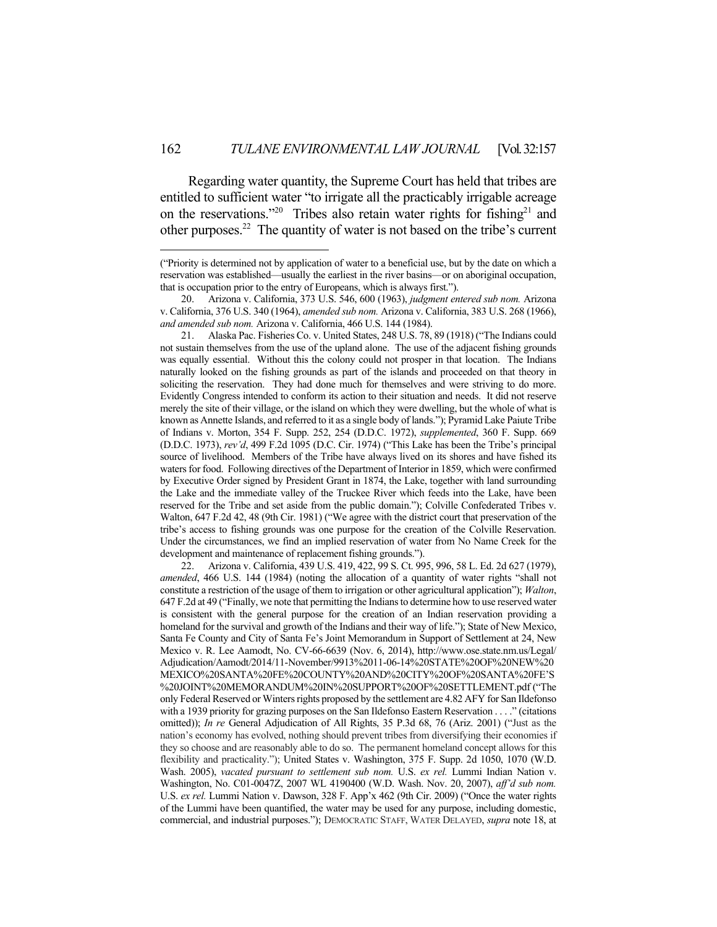Regarding water quantity, the Supreme Court has held that tribes are entitled to sufficient water "to irrigate all the practicably irrigable acreage on the reservations."<sup>20</sup> Tribes also retain water rights for fishing<sup>21</sup> and other purposes.22 The quantity of water is not based on the tribe's current

1

 21. Alaska Pac. Fisheries Co. v. United States, 248 U.S. 78, 89 (1918) ("The Indians could not sustain themselves from the use of the upland alone. The use of the adjacent fishing grounds was equally essential. Without this the colony could not prosper in that location. The Indians naturally looked on the fishing grounds as part of the islands and proceeded on that theory in soliciting the reservation. They had done much for themselves and were striving to do more. Evidently Congress intended to conform its action to their situation and needs. It did not reserve merely the site of their village, or the island on which they were dwelling, but the whole of what is known as Annette Islands, and referred to it as a single body of lands."); Pyramid Lake Paiute Tribe of Indians v. Morton, 354 F. Supp. 252, 254 (D.D.C. 1972), *supplemented*, 360 F. Supp. 669 (D.D.C. 1973), *rev'd*, 499 F.2d 1095 (D.C. Cir. 1974) ("This Lake has been the Tribe's principal source of livelihood. Members of the Tribe have always lived on its shores and have fished its waters for food. Following directives of the Department of Interior in 1859, which were confirmed by Executive Order signed by President Grant in 1874, the Lake, together with land surrounding the Lake and the immediate valley of the Truckee River which feeds into the Lake, have been reserved for the Tribe and set aside from the public domain."); Colville Confederated Tribes v. Walton, 647 F.2d 42, 48 (9th Cir. 1981) ("We agree with the district court that preservation of the tribe's access to fishing grounds was one purpose for the creation of the Colville Reservation. Under the circumstances, we find an implied reservation of water from No Name Creek for the development and maintenance of replacement fishing grounds.").

 22. Arizona v. California, 439 U.S. 419, 422, 99 S. Ct. 995, 996, 58 L. Ed. 2d 627 (1979), *amended*, 466 U.S. 144 (1984) (noting the allocation of a quantity of water rights "shall not constitute a restriction of the usage of them to irrigation or other agricultural application"); *Walton*, 647 F.2d at 49 ("Finally, we note that permitting the Indians to determine how to use reserved water is consistent with the general purpose for the creation of an Indian reservation providing a homeland for the survival and growth of the Indians and their way of life."); State of New Mexico, Santa Fe County and City of Santa Fe's Joint Memorandum in Support of Settlement at 24, New Mexico v. R. Lee Aamodt, No. CV-66-6639 (Nov. 6, 2014), http://www.ose.state.nm.us/Legal/ Adjudication/Aamodt/2014/11-November/9913%2011-06-14%20STATE%20OF%20NEW%20 MEXICO%20SANTA%20FE%20COUNTY%20AND%20CITY%20OF%20SANTA%20FE'S %20JOINT%20MEMORANDUM%20IN%20SUPPORT%20OF%20SETTLEMENT.pdf ("The only Federal Reserved or Winters rights proposed by the settlement are 4.82 AFY for San Ildefonso with a 1939 priority for grazing purposes on the San Ildefonso Eastern Reservation . . . ." (citations omitted)); *In re* General Adjudication of All Rights, 35 P.3d 68, 76 (Ariz. 2001) ("Just as the nation's economy has evolved, nothing should prevent tribes from diversifying their economies if they so choose and are reasonably able to do so. The permanent homeland concept allows for this flexibility and practicality."); United States v. Washington, 375 F. Supp. 2d 1050, 1070 (W.D. Wash. 2005), *vacated pursuant to settlement sub nom.* U.S. *ex rel.* Lummi Indian Nation v. Washington, No. C01-0047Z, 2007 WL 4190400 (W.D. Wash. Nov. 20, 2007), *aff'd sub nom.* U.S. *ex rel.* Lummi Nation v. Dawson, 328 F. App'x 462 (9th Cir. 2009) ("Once the water rights of the Lummi have been quantified, the water may be used for any purpose, including domestic, commercial, and industrial purposes."); DEMOCRATIC STAFF, WATER DELAYED, *supra* note 18, at

<sup>(&</sup>quot;Priority is determined not by application of water to a beneficial use, but by the date on which a reservation was established—usually the earliest in the river basins—or on aboriginal occupation, that is occupation prior to the entry of Europeans, which is always first.").

 <sup>20.</sup> Arizona v. California, 373 U.S. 546, 600 (1963), *judgment entered sub nom.* Arizona v. California, 376 U.S. 340 (1964), *amended sub nom.* Arizona v. California, 383 U.S. 268 (1966), *and amended sub nom.* Arizona v. California, 466 U.S. 144 (1984).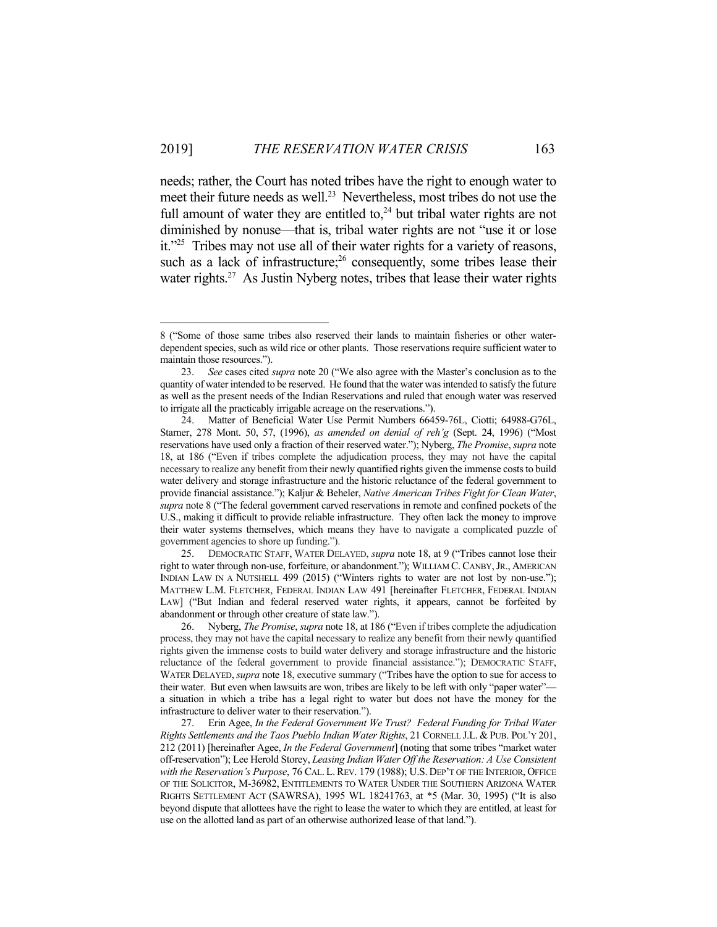1

needs; rather, the Court has noted tribes have the right to enough water to meet their future needs as well.<sup>23</sup> Nevertheless, most tribes do not use the full amount of water they are entitled to, $^{24}$  but tribal water rights are not diminished by nonuse—that is, tribal water rights are not "use it or lose it."25 Tribes may not use all of their water rights for a variety of reasons, such as a lack of infrastructure; $26$  consequently, some tribes lease their water rights.<sup>27</sup> As Justin Nyberg notes, tribes that lease their water rights

<sup>8 (&</sup>quot;Some of those same tribes also reserved their lands to maintain fisheries or other waterdependent species, such as wild rice or other plants. Those reservations require sufficient water to maintain those resources.").

 <sup>23.</sup> *See* cases cited *supra* note 20 ("We also agree with the Master's conclusion as to the quantity of water intended to be reserved. He found that the water was intended to satisfy the future as well as the present needs of the Indian Reservations and ruled that enough water was reserved to irrigate all the practicably irrigable acreage on the reservations.").

 <sup>24.</sup> Matter of Beneficial Water Use Permit Numbers 66459-76L, Ciotti; 64988-G76L, Starner, 278 Mont. 50, 57, (1996), *as amended on denial of reh'g* (Sept. 24, 1996) ("Most reservations have used only a fraction of their reserved water."); Nyberg, *The Promise*, *supra* note 18, at 186 ("Even if tribes complete the adjudication process, they may not have the capital necessary to realize any benefit from their newly quantified rights given the immense costs to build water delivery and storage infrastructure and the historic reluctance of the federal government to provide financial assistance."); Kaljur & Beheler, *Native American Tribes Fight for Clean Water*, *supra* note 8 ("The federal government carved reservations in remote and confined pockets of the U.S., making it difficult to provide reliable infrastructure. They often lack the money to improve their water systems themselves, which means they have to navigate a complicated puzzle of government agencies to shore up funding.").

 <sup>25.</sup> DEMOCRATIC STAFF, WATER DELAYED, *supra* note 18, at 9 ("Tribes cannot lose their right to water through non-use, forfeiture, or abandonment."); WILLIAM C. CANBY,JR., AMERICAN INDIAN LAW IN A NUTSHELL 499 (2015) ("Winters rights to water are not lost by non-use."); MATTHEW L.M. FLETCHER, FEDERAL INDIAN LAW 491 [hereinafter FLETCHER, FEDERAL INDIAN LAW] ("But Indian and federal reserved water rights, it appears, cannot be forfeited by abandonment or through other creature of state law.").

 <sup>26.</sup> Nyberg, *The Promise*, *supra* note 18, at 186 ("Even if tribes complete the adjudication process, they may not have the capital necessary to realize any benefit from their newly quantified rights given the immense costs to build water delivery and storage infrastructure and the historic reluctance of the federal government to provide financial assistance."); DEMOCRATIC STAFF, WATER DELAYED, *supra* note 18, executive summary ("Tribes have the option to sue for access to their water. But even when lawsuits are won, tribes are likely to be left with only "paper water" a situation in which a tribe has a legal right to water but does not have the money for the infrastructure to deliver water to their reservation.").

 <sup>27.</sup> Erin Agee, *In the Federal Government We Trust? Federal Funding for Tribal Water Rights Settlements and the Taos Pueblo Indian Water Rights*, 21 CORNELL J.L. & PUB. POL'Y 201, 212 (2011) [hereinafter Agee, *In the Federal Government*] (noting that some tribes "market water off-reservation"); Lee Herold Storey, *Leasing Indian Water Off the Reservation: A Use Consistent with the Reservation's Purpose*, 76 CAL. L. REV. 179 (1988); U.S. DEP'T OF THE INTERIOR, OFFICE OF THE SOLICITOR, M-36982, ENTITLEMENTS TO WATER UNDER THE SOUTHERN ARIZONA WATER RIGHTS SETTLEMENT ACT (SAWRSA), 1995 WL 18241763, at \*5 (Mar. 30, 1995) ("It is also beyond dispute that allottees have the right to lease the water to which they are entitled, at least for use on the allotted land as part of an otherwise authorized lease of that land.").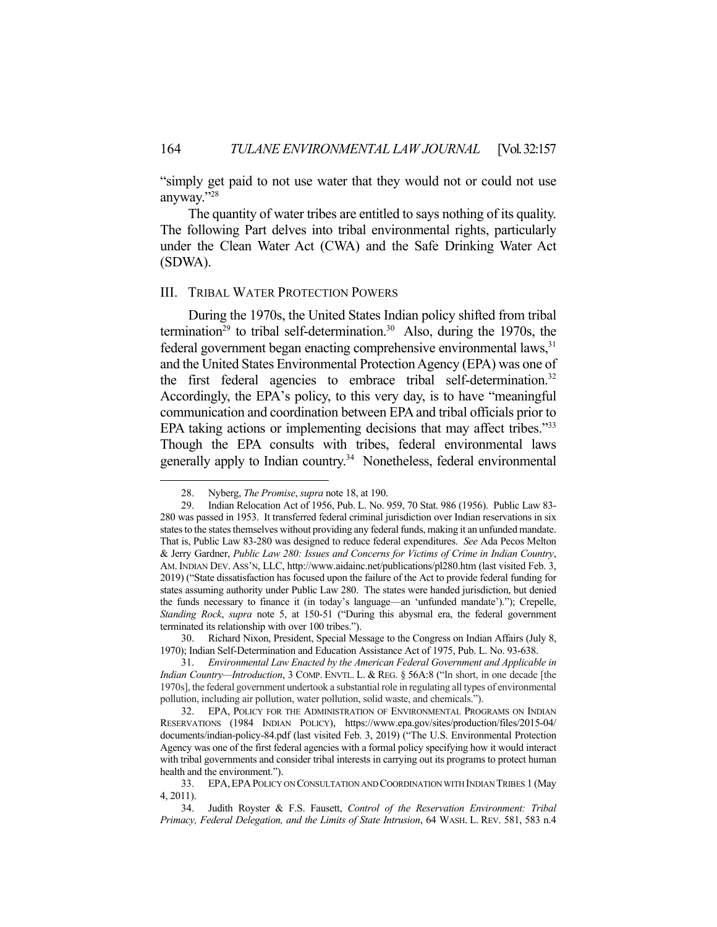"simply get paid to not use water that they would not or could not use anyway."28

 The quantity of water tribes are entitled to says nothing of its quality. The following Part delves into tribal environmental rights, particularly under the Clean Water Act (CWA) and the Safe Drinking Water Act (SDWA).

#### III. TRIBAL WATER PROTECTION POWERS

 During the 1970s, the United States Indian policy shifted from tribal termination<sup>29</sup> to tribal self-determination.<sup>30</sup> Also, during the 1970s, the federal government began enacting comprehensive environmental laws,<sup>31</sup> and the United States Environmental Protection Agency (EPA) was one of the first federal agencies to embrace tribal self-determination.<sup>32</sup> Accordingly, the EPA's policy, to this very day, is to have "meaningful communication and coordination between EPA and tribal officials prior to EPA taking actions or implementing decisions that may affect tribes."<sup>33</sup> Though the EPA consults with tribes, federal environmental laws generally apply to Indian country.34 Nonetheless, federal environmental

<u>.</u>

 <sup>28.</sup> Nyberg, *The Promise*, *supra* note 18, at 190.

 <sup>29.</sup> Indian Relocation Act of 1956, Pub. L. No. 959, 70 Stat. 986 (1956). Public Law 83- 280 was passed in 1953. It transferred federal criminal jurisdiction over Indian reservations in six states to the states themselves without providing any federal funds, making it an unfunded mandate. That is, Public Law 83-280 was designed to reduce federal expenditures. *See* Ada Pecos Melton & Jerry Gardner, *Public Law 280: Issues and Concerns for Victims of Crime in Indian Country*, AM. INDIAN DEV. ASS'N, LLC, http://www.aidainc.net/publications/pl280.htm (last visited Feb. 3, 2019) ("State dissatisfaction has focused upon the failure of the Act to provide federal funding for states assuming authority under Public Law 280. The states were handed jurisdiction, but denied the funds necessary to finance it (in today's language—an 'unfunded mandate')."); Crepelle, *Standing Rock*, *supra* note 5, at 150-51 ("During this abysmal era, the federal government terminated its relationship with over 100 tribes.").

 <sup>30.</sup> Richard Nixon, President, Special Message to the Congress on Indian Affairs (July 8, 1970); Indian Self-Determination and Education Assistance Act of 1975, Pub. L. No. 93-638.

 <sup>31.</sup> *Environmental Law Enacted by the American Federal Government and Applicable in Indian Country—Introduction*, 3 COMP. ENVTL. L. & REG. § 56A:8 ("In short, in one decade [the 1970s], the federal government undertook a substantial role in regulating all types of environmental pollution, including air pollution, water pollution, solid waste, and chemicals.").

 <sup>32.</sup> EPA, POLICY FOR THE ADMINISTRATION OF ENVIRONMENTAL PROGRAMS ON INDIAN RESERVATIONS (1984 INDIAN POLICY), https://www.epa.gov/sites/production/files/2015-04/ documents/indian-policy-84.pdf (last visited Feb. 3, 2019) ("The U.S. Environmental Protection Agency was one of the first federal agencies with a formal policy specifying how it would interact with tribal governments and consider tribal interests in carrying out its programs to protect human health and the environment.").

 <sup>33.</sup> EPA,EPAPOLICY ON CONSULTATION AND COORDINATION WITH INDIAN TRIBES 1 (May 4, 2011).

 <sup>34.</sup> Judith Royster & F.S. Fausett, *Control of the Reservation Environment: Tribal Primacy, Federal Delegation, and the Limits of State Intrusion*, 64 WASH. L. REV. 581, 583 n.4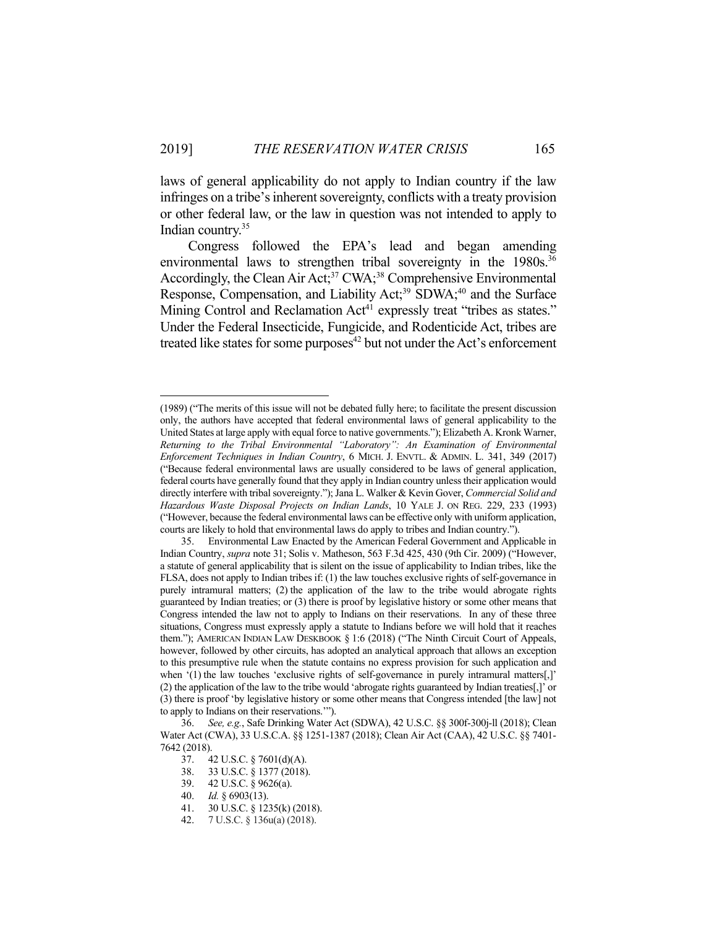laws of general applicability do not apply to Indian country if the law infringes on a tribe's inherent sovereignty, conflicts with a treaty provision or other federal law, or the law in question was not intended to apply to Indian country.35

 Congress followed the EPA's lead and began amending environmental laws to strengthen tribal sovereignty in the 1980s.<sup>36</sup> Accordingly, the Clean Air Act;<sup>37</sup> CWA;<sup>38</sup> Comprehensive Environmental Response, Compensation, and Liability Act;<sup>39</sup> SDWA;<sup>40</sup> and the Surface Mining Control and Reclamation Act<sup>41</sup> expressly treat "tribes as states." Under the Federal Insecticide, Fungicide, and Rodenticide Act, tribes are treated like states for some purposes $42$  but not under the Act's enforcement

<u>.</u>

<sup>(1989) (&</sup>quot;The merits of this issue will not be debated fully here; to facilitate the present discussion only, the authors have accepted that federal environmental laws of general applicability to the United States at large apply with equal force to native governments."); Elizabeth A. Kronk Warner, *Returning to the Tribal Environmental "Laboratory": An Examination of Environmental Enforcement Techniques in Indian Country*, 6 MICH. J. ENVTL. & ADMIN. L. 341, 349 (2017) ("Because federal environmental laws are usually considered to be laws of general application, federal courts have generally found that they apply in Indian country unless their application would directly interfere with tribal sovereignty."); Jana L. Walker & Kevin Gover, *Commercial Solid and Hazardous Waste Disposal Projects on Indian Lands*, 10 YALE J. ON REG. 229, 233 (1993) ("However, because the federal environmental laws can be effective only with uniform application, courts are likely to hold that environmental laws do apply to tribes and Indian country.").

 <sup>35.</sup> Environmental Law Enacted by the American Federal Government and Applicable in Indian Country, *supra* note 31; Solis v. Matheson, 563 F.3d 425, 430 (9th Cir. 2009) ("However, a statute of general applicability that is silent on the issue of applicability to Indian tribes, like the FLSA, does not apply to Indian tribes if: (1) the law touches exclusive rights of self-governance in purely intramural matters; (2) the application of the law to the tribe would abrogate rights guaranteed by Indian treaties; or (3) there is proof by legislative history or some other means that Congress intended the law not to apply to Indians on their reservations. In any of these three situations, Congress must expressly apply a statute to Indians before we will hold that it reaches them."); AMERICAN INDIAN LAW DESKBOOK § 1:6 (2018) ("The Ninth Circuit Court of Appeals, however, followed by other circuits, has adopted an analytical approach that allows an exception to this presumptive rule when the statute contains no express provision for such application and when '(1) the law touches 'exclusive rights of self-governance in purely intramural matters[,]' (2) the application of the law to the tribe would 'abrogate rights guaranteed by Indian treaties[,]' or (3) there is proof 'by legislative history or some other means that Congress intended [the law] not to apply to Indians on their reservations.'").

 <sup>36.</sup> *See, e.g.*, Safe Drinking Water Act (SDWA), 42 U.S.C. §§ 300f-300j-ll (2018); Clean Water Act (CWA), 33 U.S.C.A. §§ 1251-1387 (2018); Clean Air Act (CAA), 42 U.S.C. §§ 7401- 7642 (2018).

 <sup>37. 42</sup> U.S.C. § 7601(d)(A).

 <sup>38. 33</sup> U.S.C. § 1377 (2018).

 <sup>39. 42</sup> U.S.C. § 9626(a).

 <sup>40.</sup> *Id.* § 6903(13).

 <sup>41. 30</sup> U.S.C. § 1235(k) (2018).

 <sup>42. 7</sup> U.S.C. § 136u(a) (2018).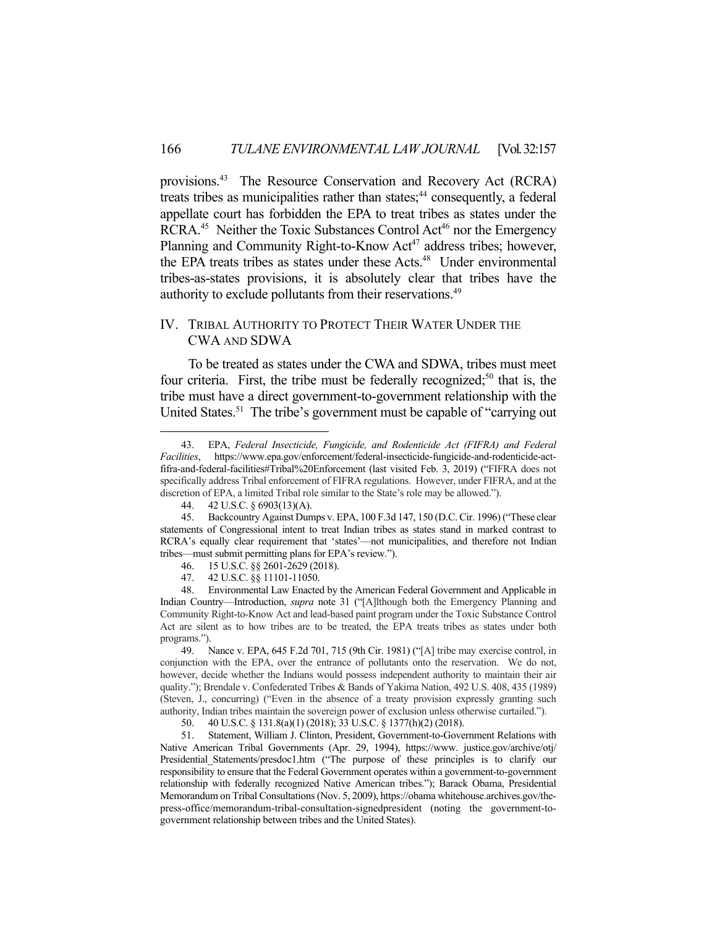provisions.<sup>43</sup> The Resource Conservation and Recovery Act (RCRA) treats tribes as municipalities rather than states;<sup>44</sup> consequently, a federal appellate court has forbidden the EPA to treat tribes as states under the RCRA.<sup>45</sup> Neither the Toxic Substances Control Act<sup>46</sup> nor the Emergency Planning and Community Right-to-Know Act<sup>47</sup> address tribes; however, the EPA treats tribes as states under these Acts.<sup>48</sup> Under environmental tribes-as-states provisions, it is absolutely clear that tribes have the authority to exclude pollutants from their reservations.49

### IV. TRIBAL AUTHORITY TO PROTECT THEIR WATER UNDER THE CWA AND SDWA

 To be treated as states under the CWA and SDWA, tribes must meet four criteria. First, the tribe must be federally recognized;<sup>50</sup> that is, the tribe must have a direct government-to-government relationship with the United States.<sup>51</sup> The tribe's government must be capable of "carrying out"

 <sup>43.</sup> EPA, *Federal Insecticide, Fungicide, and Rodenticide Act (FIFRA) and Federal Facilities*, https://www.epa.gov/enforcement/federal-insecticide-fungicide-and-rodenticide-actfifra-and-federal-facilities#Tribal%20Enforcement (last visited Feb. 3, 2019) ("FIFRA does not specifically address Tribal enforcement of FIFRA regulations. However, under FIFRA, and at the discretion of EPA, a limited Tribal role similar to the State's role may be allowed.").

 <sup>44. 42</sup> U.S.C. § 6903(13)(A).

 <sup>45.</sup> Backcountry Against Dumps v. EPA, 100 F.3d 147, 150 (D.C. Cir. 1996) ("These clear statements of Congressional intent to treat Indian tribes as states stand in marked contrast to RCRA's equally clear requirement that 'states'—not municipalities, and therefore not Indian tribes—must submit permitting plans for EPA's review.").

 <sup>46. 15</sup> U.S.C. §§ 2601-2629 (2018).

 <sup>47. 42</sup> U.S.C. §§ 11101-11050.

 <sup>48.</sup> Environmental Law Enacted by the American Federal Government and Applicable in Indian Country—Introduction, *supra* note 31 ("[A]lthough both the Emergency Planning and Community Right-to-Know Act and lead-based paint program under the Toxic Substance Control Act are silent as to how tribes are to be treated, the EPA treats tribes as states under both programs.").

 <sup>49.</sup> Nance v. EPA, 645 F.2d 701, 715 (9th Cir. 1981) ("[A] tribe may exercise control, in conjunction with the EPA, over the entrance of pollutants onto the reservation. We do not, however, decide whether the Indians would possess independent authority to maintain their air quality."); Brendale v. Confederated Tribes & Bands of Yakima Nation, 492 U.S. 408, 435 (1989) (Steven, J., concurring) ("Even in the absence of a treaty provision expressly granting such authority, Indian tribes maintain the sovereign power of exclusion unless otherwise curtailed.").

 <sup>50. 40</sup> U.S.C. § 131.8(a)(1) (2018); 33 U.S.C. § 1377(h)(2) (2018).

 <sup>51.</sup> Statement, William J. Clinton, President, Government-to-Government Relations with Native American Tribal Governments (Apr. 29, 1994), https://www. justice.gov/archive/otj/ Presidential Statements/presdoc1.htm ("The purpose of these principles is to clarify our responsibility to ensure that the Federal Government operates within a government-to-government relationship with federally recognized Native American tribes."); Barack Obama, Presidential Memorandum on Tribal Consultations (Nov. 5, 2009), https://obama whitehouse.archives.gov/thepress-office/memorandum-tribal-consultation-signedpresident (noting the government-togovernment relationship between tribes and the United States).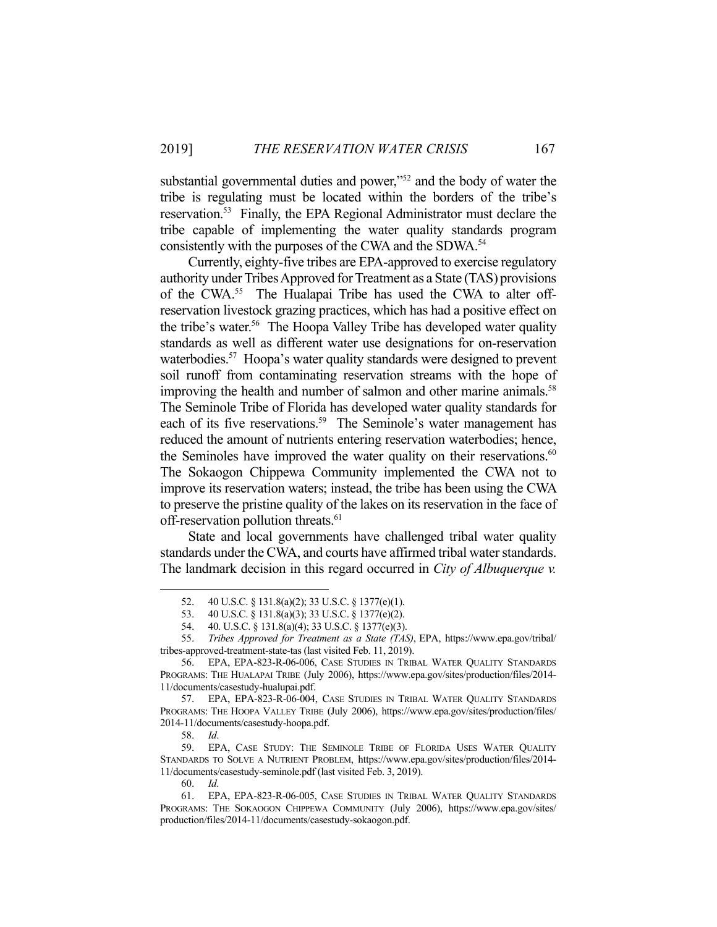substantial governmental duties and power."<sup>52</sup> and the body of water the tribe is regulating must be located within the borders of the tribe's reservation.53 Finally, the EPA Regional Administrator must declare the tribe capable of implementing the water quality standards program consistently with the purposes of the CWA and the SDWA.<sup>54</sup>

 Currently, eighty-five tribes are EPA-approved to exercise regulatory authority under Tribes Approved for Treatment as a State (TAS) provisions of the CWA.<sup>55</sup> The Hualapai Tribe has used the CWA to alter offreservation livestock grazing practices, which has had a positive effect on the tribe's water.<sup>56</sup> The Hoopa Valley Tribe has developed water quality standards as well as different water use designations for on-reservation waterbodies.<sup>57</sup> Hoopa's water quality standards were designed to prevent soil runoff from contaminating reservation streams with the hope of improving the health and number of salmon and other marine animals.<sup>58</sup> The Seminole Tribe of Florida has developed water quality standards for each of its five reservations.<sup>59</sup> The Seminole's water management has reduced the amount of nutrients entering reservation waterbodies; hence, the Seminoles have improved the water quality on their reservations. $60$ The Sokaogon Chippewa Community implemented the CWA not to improve its reservation waters; instead, the tribe has been using the CWA to preserve the pristine quality of the lakes on its reservation in the face of off-reservation pollution threats.<sup>61</sup>

 State and local governments have challenged tribal water quality standards under the CWA, and courts have affirmed tribal water standards. The landmark decision in this regard occurred in *City of Albuquerque v.* 

 <sup>52. 40</sup> U.S.C. § 131.8(a)(2); 33 U.S.C. § 1377(e)(1).

 <sup>53. 40</sup> U.S.C. § 131.8(a)(3); 33 U.S.C. § 1377(e)(2).

 <sup>54. 40.</sup> U.S.C. § 131.8(a)(4); 33 U.S.C. § 1377(e)(3).

 <sup>55.</sup> *Tribes Approved for Treatment as a State (TAS)*, EPA, https://www.epa.gov/tribal/ tribes-approved-treatment-state-tas (last visited Feb. 11, 2019).

 <sup>56.</sup> EPA, EPA-823-R-06-006, CASE STUDIES IN TRIBAL WATER QUALITY STANDARDS PROGRAMS: THE HUALAPAI TRIBE (July 2006), https://www.epa.gov/sites/production/files/2014- 11/documents/casestudy-hualupai.pdf.

 <sup>57.</sup> EPA, EPA-823-R-06-004, CASE STUDIES IN TRIBAL WATER QUALITY STANDARDS PROGRAMS: THE HOOPA VALLEY TRIBE (July 2006), https://www.epa.gov/sites/production/files/ 2014-11/documents/casestudy-hoopa.pdf.

 <sup>58.</sup> *Id*.

 <sup>59.</sup> EPA, CASE STUDY: THE SEMINOLE TRIBE OF FLORIDA USES WATER QUALITY STANDARDS TO SOLVE A NUTRIENT PROBLEM, https://www.epa.gov/sites/production/files/2014- 11/documents/casestudy-seminole.pdf (last visited Feb. 3, 2019).

 <sup>60.</sup> *Id.*

 <sup>61.</sup> EPA, EPA-823-R-06-005, CASE STUDIES IN TRIBAL WATER QUALITY STANDARDS PROGRAMS: THE SOKAOGON CHIPPEWA COMMUNITY (July 2006), https://www.epa.gov/sites/ production/files/2014-11/documents/casestudy-sokaogon.pdf.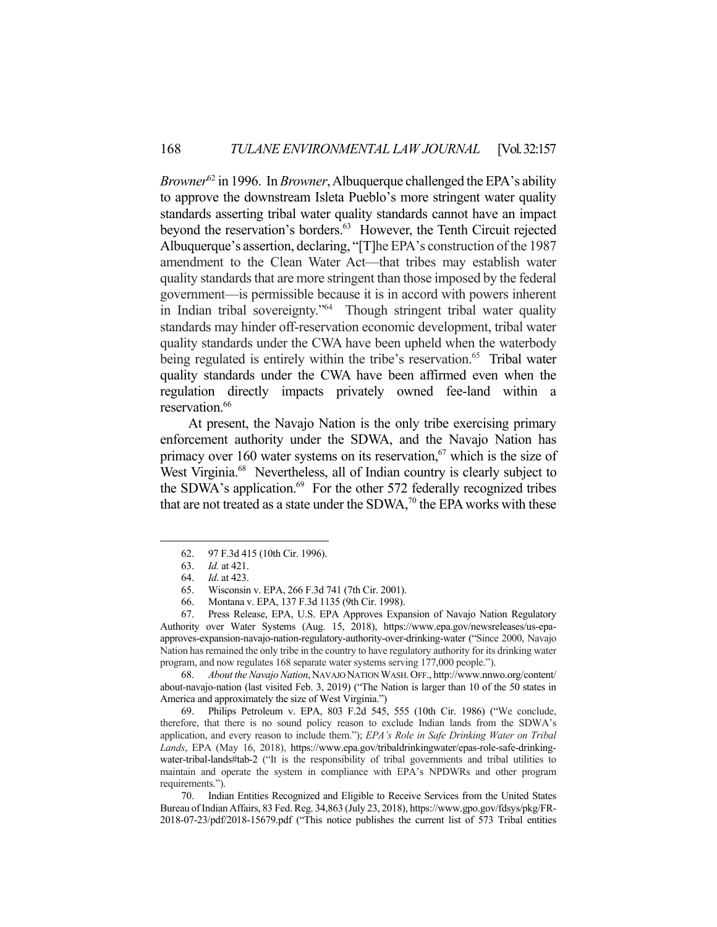*Browner*<sup>62</sup> in 1996. In *Browner*, Albuquerque challenged the EPA's ability to approve the downstream Isleta Pueblo's more stringent water quality standards asserting tribal water quality standards cannot have an impact beyond the reservation's borders.<sup>63</sup> However, the Tenth Circuit rejected Albuquerque's assertion, declaring, "[T]he EPA's construction of the 1987 amendment to the Clean Water Act—that tribes may establish water quality standards that are more stringent than those imposed by the federal government—is permissible because it is in accord with powers inherent in Indian tribal sovereignty."64 Though stringent tribal water quality standards may hinder off-reservation economic development, tribal water quality standards under the CWA have been upheld when the waterbody being regulated is entirely within the tribe's reservation.<sup>65</sup> Tribal water quality standards under the CWA have been affirmed even when the regulation directly impacts privately owned fee-land within a reservation.<sup>66</sup>

 At present, the Navajo Nation is the only tribe exercising primary enforcement authority under the SDWA, and the Navajo Nation has primacy over 160 water systems on its reservation, $67$  which is the size of West Virginia.<sup>68</sup> Nevertheless, all of Indian country is clearly subject to the SDWA's application.<sup>69</sup> For the other 572 federally recognized tribes that are not treated as a state under the SDWA, $70$  the EPA works with these

<u>.</u>

 68. *About the Navajo Nation*,NAVAJO NATION WASH.OFF., http://www.nnwo.org/content/ about-navajo-nation (last visited Feb. 3, 2019) ("The Nation is larger than 10 of the 50 states in America and approximately the size of West Virginia.")

 69. Philips Petroleum v. EPA, 803 F.2d 545, 555 (10th Cir. 1986) ("We conclude, therefore, that there is no sound policy reason to exclude Indian lands from the SDWA's application, and every reason to include them."); *EPA's Role in Safe Drinking Water on Tribal Lands*, EPA (May 16, 2018), https://www.epa.gov/tribaldrinkingwater/epas-role-safe-drinkingwater-tribal-lands#tab-2 ("It is the responsibility of tribal governments and tribal utilities to maintain and operate the system in compliance with EPA's NPDWRs and other program requirements.").

 70. Indian Entities Recognized and Eligible to Receive Services from the United States Bureau of Indian Affairs, 83 Fed. Reg. 34,863 (July 23, 2018), https://www.gpo.gov/fdsys/pkg/FR-2018-07-23/pdf/2018-15679.pdf ("This notice publishes the current list of 573 Tribal entities

 <sup>62. 97</sup> F.3d 415 (10th Cir. 1996).

 <sup>63.</sup> *Id.* at 421.

 <sup>64.</sup> *Id*. at 423.

 <sup>65.</sup> Wisconsin v. EPA, 266 F.3d 741 (7th Cir. 2001).

 <sup>66.</sup> Montana v. EPA, 137 F.3d 1135 (9th Cir. 1998).

 <sup>67.</sup> Press Release, EPA, U.S. EPA Approves Expansion of Navajo Nation Regulatory Authority over Water Systems (Aug. 15, 2018), https://www.epa.gov/newsreleases/us-epaapproves-expansion-navajo-nation-regulatory-authority-over-drinking-water ("Since 2000, Navajo Nation has remained the only tribe in the country to have regulatory authority for its drinking water program, and now regulates 168 separate water systems serving 177,000 people.").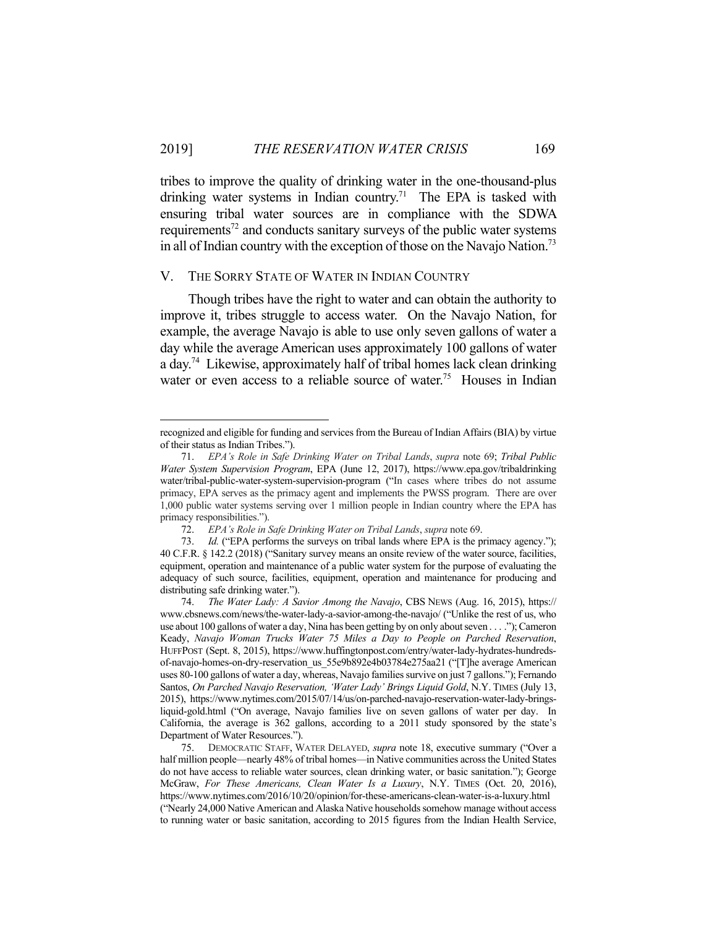tribes to improve the quality of drinking water in the one-thousand-plus drinking water systems in Indian country.<sup>71</sup> The EPA is tasked with ensuring tribal water sources are in compliance with the SDWA requirements<sup>72</sup> and conducts sanitary surveys of the public water systems in all of Indian country with the exception of those on the Navajo Nation.<sup>73</sup>

#### V. THE SORRY STATE OF WATER IN INDIAN COUNTRY

<u>.</u>

 Though tribes have the right to water and can obtain the authority to improve it, tribes struggle to access water. On the Navajo Nation, for example, the average Navajo is able to use only seven gallons of water a day while the average American uses approximately 100 gallons of water a day.74 Likewise, approximately half of tribal homes lack clean drinking water or even access to a reliable source of water.<sup>75</sup> Houses in Indian

recognized and eligible for funding and services from the Bureau of Indian Affairs (BIA) by virtue of their status as Indian Tribes.").

 <sup>71.</sup> *EPA's Role in Safe Drinking Water on Tribal Lands*, *supra* note 69; *Tribal Public Water System Supervision Program*, EPA (June 12, 2017), https://www.epa.gov/tribaldrinking water/tribal-public-water-system-supervision-program ("In cases where tribes do not assume primacy, EPA serves as the primacy agent and implements the PWSS program. There are over 1,000 public water systems serving over 1 million people in Indian country where the EPA has primacy responsibilities.").

 <sup>72.</sup> *EPA's Role in Safe Drinking Water on Tribal Lands*, *supra* note 69.

 <sup>73.</sup> *Id.* ("EPA performs the surveys on tribal lands where EPA is the primacy agency."); 40 C.F.R. § 142.2 (2018) ("Sanitary survey means an onsite review of the water source, facilities, equipment, operation and maintenance of a public water system for the purpose of evaluating the adequacy of such source, facilities, equipment, operation and maintenance for producing and distributing safe drinking water.").

 <sup>74.</sup> *The Water Lady: A Savior Among the Navajo*, CBS NEWS (Aug. 16, 2015), https:// www.cbsnews.com/news/the-water-lady-a-savior-among-the-navajo/ ("Unlike the rest of us, who use about 100 gallons of water a day, Nina has been getting by on only about seven . . . ."); Cameron Keady, *Navajo Woman Trucks Water 75 Miles a Day to People on Parched Reservation*, HUFFPOST (Sept. 8, 2015), https://www.huffingtonpost.com/entry/water-lady-hydrates-hundredsof-navajo-homes-on-dry-reservation\_us\_55e9b892e4b03784e275aa21 ("[T]he average American uses 80-100 gallons of water a day, whereas, Navajo families survive on just 7 gallons."); Fernando Santos, *On Parched Navajo Reservation, 'Water Lady' Brings Liquid Gold*, N.Y. TIMES (July 13, 2015), https://www.nytimes.com/2015/07/14/us/on-parched-navajo-reservation-water-lady-bringsliquid-gold.html ("On average, Navajo families live on seven gallons of water per day. In California, the average is 362 gallons, according to a 2011 study sponsored by the state's Department of Water Resources.").

 <sup>75.</sup> DEMOCRATIC STAFF, WATER DELAYED, *supra* note 18, executive summary ("Over a half million people—nearly 48% of tribal homes—in Native communities across the United States do not have access to reliable water sources, clean drinking water, or basic sanitation."); George McGraw, *For These Americans, Clean Water Is a Luxury*, N.Y. TIMES (Oct. 20, 2016), https://www.nytimes.com/2016/10/20/opinion/for-these-americans-clean-water-is-a-luxury.html ("Nearly 24,000 Native American and Alaska Native households somehow manage without access to running water or basic sanitation, according to 2015 figures from the Indian Health Service,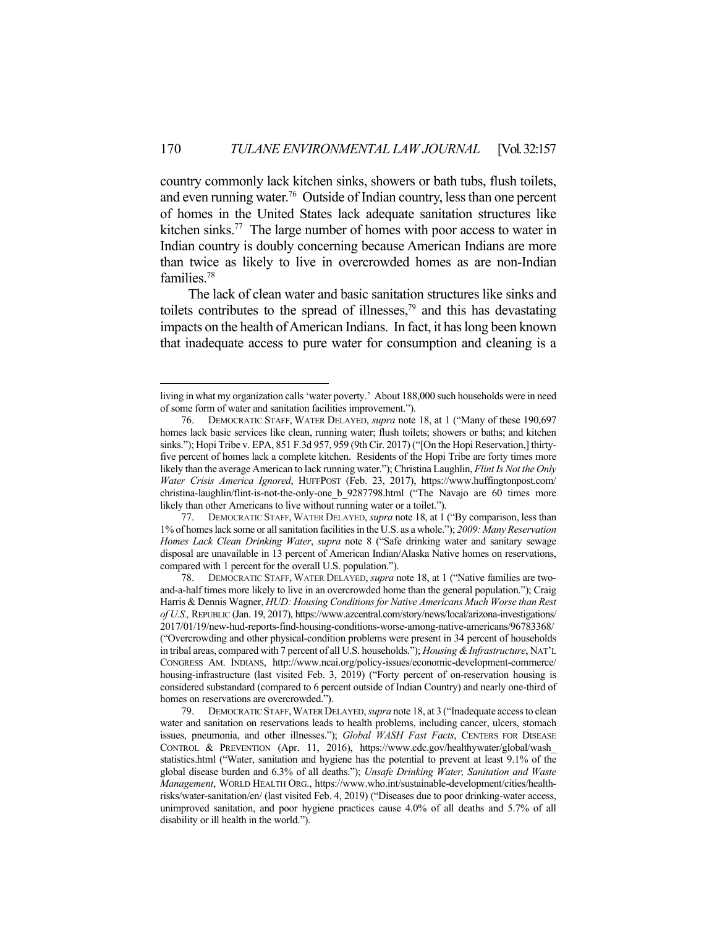country commonly lack kitchen sinks, showers or bath tubs, flush toilets, and even running water.<sup>76</sup> Outside of Indian country, less than one percent of homes in the United States lack adequate sanitation structures like kitchen sinks.<sup>77</sup> The large number of homes with poor access to water in Indian country is doubly concerning because American Indians are more than twice as likely to live in overcrowded homes as are non-Indian families.78

 The lack of clean water and basic sanitation structures like sinks and toilets contributes to the spread of illnesses, $79$  and this has devastating impacts on the health of American Indians. In fact, it has long been known that inadequate access to pure water for consumption and cleaning is a

living in what my organization calls 'water poverty.' About 188,000 such households were in need of some form of water and sanitation facilities improvement.").

 <sup>76.</sup> DEMOCRATIC STAFF, WATER DELAYED, *supra* note 18, at 1 ("Many of these 190,697 homes lack basic services like clean, running water; flush toilets; showers or baths; and kitchen sinks."); Hopi Tribe v. EPA, 851 F.3d 957, 959 (9th Cir. 2017) ("[On the Hopi Reservation,] thirtyfive percent of homes lack a complete kitchen. Residents of the Hopi Tribe are forty times more likely than the average American to lack running water."); Christina Laughlin, *Flint Is Not the Only Water Crisis America Ignored*, HUFFPOST (Feb. 23, 2017), https://www.huffingtonpost.com/ christina-laughlin/flint-is-not-the-only-one\_b\_9287798.html ("The Navajo are 60 times more likely than other Americans to live without running water or a toilet.").

 <sup>77.</sup> DEMOCRATIC STAFF,WATER DELAYED, *supra* note 18, at 1 ("By comparison, less than 1% of homes lack some or all sanitation facilities in the U.S. as a whole."); *2009: Many Reservation Homes Lack Clean Drinking Water*, *supra* note 8 ("Safe drinking water and sanitary sewage disposal are unavailable in 13 percent of American Indian/Alaska Native homes on reservations, compared with 1 percent for the overall U.S. population.").

 <sup>78.</sup> DEMOCRATIC STAFF, WATER DELAYED, *supra* note 18, at 1 ("Native families are twoand-a-half times more likely to live in an overcrowded home than the general population."); Craig Harris & Dennis Wagner, *HUD: Housing Conditions for Native Americans Much Worse than Rest of U.S.,* REPUBLIC (Jan. 19, 2017), https://www.azcentral.com/story/news/local/arizona-investigations/ 2017/01/19/new-hud-reports-find-housing-conditions-worse-among-native-americans/96783368/ ("Overcrowding and other physical-condition problems were present in 34 percent of households in tribal areas, compared with 7 percent of all U.S. households."); *Housing & Infrastructure*, NAT'L CONGRESS AM. INDIANS, http://www.ncai.org/policy-issues/economic-development-commerce/ housing-infrastructure (last visited Feb. 3, 2019) ("Forty percent of on-reservation housing is considered substandard (compared to 6 percent outside of Indian Country) and nearly one-third of homes on reservations are overcrowded.").

 <sup>79.</sup> DEMOCRATIC STAFF,WATER DELAYED, *supra* note 18, at 3 ("Inadequate access to clean water and sanitation on reservations leads to health problems, including cancer, ulcers, stomach issues, pneumonia, and other illnesses."); *Global WASH Fast Facts*, CENTERS FOR DISEASE CONTROL & PREVENTION (Apr. 11, 2016), https://www.cdc.gov/healthywater/global/wash\_ statistics.html ("Water, sanitation and hygiene has the potential to prevent at least 9.1% of the global disease burden and 6.3% of all deaths."); *Unsafe Drinking Water, Sanitation and Waste Management*, WORLD HEALTH ORG., https://www.who.int/sustainable-development/cities/healthrisks/water-sanitation/en/ (last visited Feb. 4, 2019) ("Diseases due to poor drinking-water access, unimproved sanitation, and poor hygiene practices cause 4.0% of all deaths and 5.7% of all disability or ill health in the world.").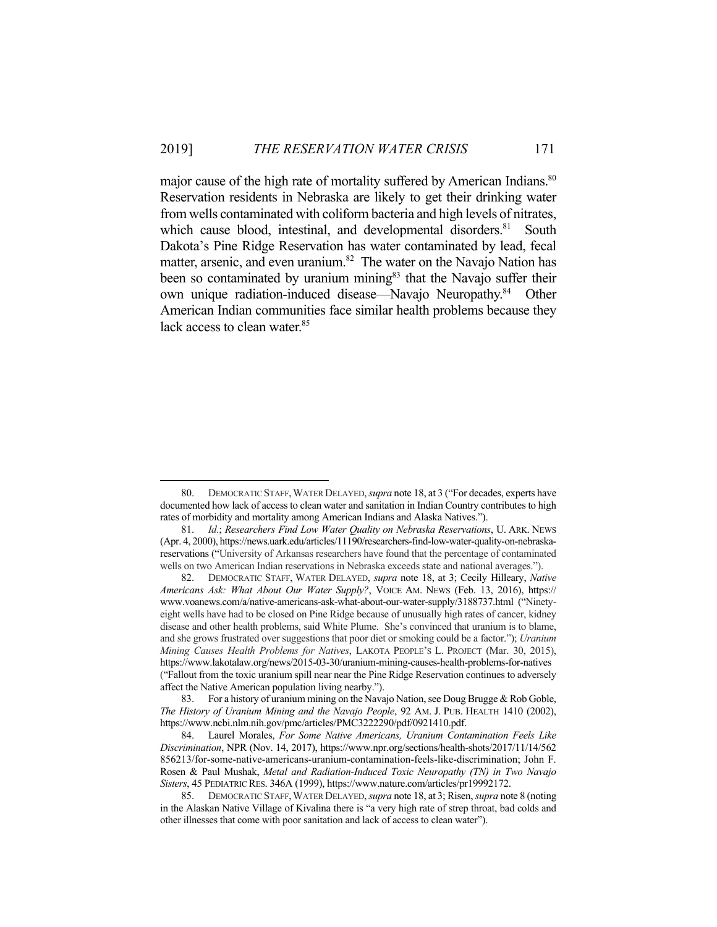major cause of the high rate of mortality suffered by American Indians.<sup>80</sup> Reservation residents in Nebraska are likely to get their drinking water from wells contaminated with coliform bacteria and high levels of nitrates, which cause blood, intestinal, and developmental disorders.<sup>81</sup> South Dakota's Pine Ridge Reservation has water contaminated by lead, fecal matter, arsenic, and even uranium.<sup>82</sup> The water on the Navajo Nation has been so contaminated by uranium mining<sup>83</sup> that the Navajo suffer their own unique radiation-induced disease—Navajo Neuropathy.<sup>84</sup> Other American Indian communities face similar health problems because they lack access to clean water.<sup>85</sup>

<u>.</u>

 <sup>80.</sup> DEMOCRATIC STAFF,WATER DELAYED, *supra* note 18, at 3 ("For decades, experts have documented how lack of access to clean water and sanitation in Indian Country contributes to high rates of morbidity and mortality among American Indians and Alaska Natives.").

 <sup>81.</sup> *Id.*; *Researchers Find Low Water Quality on Nebraska Reservations*, U. ARK. NEWS (Apr. 4, 2000), https://news.uark.edu/articles/11190/researchers-find-low-water-quality-on-nebraskareservations ("University of Arkansas researchers have found that the percentage of contaminated wells on two American Indian reservations in Nebraska exceeds state and national averages.").

 <sup>82.</sup> DEMOCRATIC STAFF, WATER DELAYED, *supra* note 18, at 3; Cecily Hilleary, *Native Americans Ask: What About Our Water Supply?*, VOICE AM. NEWS (Feb. 13, 2016), https:// www.voanews.com/a/native-americans-ask-what-about-our-water-supply/3188737.html ("Ninetyeight wells have had to be closed on Pine Ridge because of unusually high rates of cancer, kidney disease and other health problems, said White Plume. She's convinced that uranium is to blame, and she grows frustrated over suggestions that poor diet or smoking could be a factor."); *Uranium Mining Causes Health Problems for Natives*, LAKOTA PEOPLE'S L. PROJECT (Mar. 30, 2015), https://www.lakotalaw.org/news/2015-03-30/uranium-mining-causes-health-problems-for-natives ("Fallout from the toxic uranium spill near near the Pine Ridge Reservation continues to adversely affect the Native American population living nearby.").

<sup>83.</sup> For a history of uranium mining on the Navajo Nation, see Doug Brugge & Rob Goble, *The History of Uranium Mining and the Navajo People*, 92 AM. J. PUB. HEALTH 1410 (2002), https://www.ncbi.nlm.nih.gov/pmc/articles/PMC3222290/pdf/0921410.pdf.

 <sup>84.</sup> Laurel Morales, *For Some Native Americans, Uranium Contamination Feels Like Discrimination*, NPR (Nov. 14, 2017), https://www.npr.org/sections/health-shots/2017/11/14/562 856213/for-some-native-americans-uranium-contamination-feels-like-discrimination; John F. Rosen & Paul Mushak, *Metal and Radiation-Induced Toxic Neuropathy (TN) in Two Navajo Sisters*, 45 PEDIATRIC RES. 346A (1999), https://www.nature.com/articles/pr19992172.

 <sup>85.</sup> DEMOCRATIC STAFF,WATER DELAYED, *supra* note 18, at 3; Risen, *supra* note 8 (noting in the Alaskan Native Village of Kivalina there is "a very high rate of strep throat, bad colds and other illnesses that come with poor sanitation and lack of access to clean water").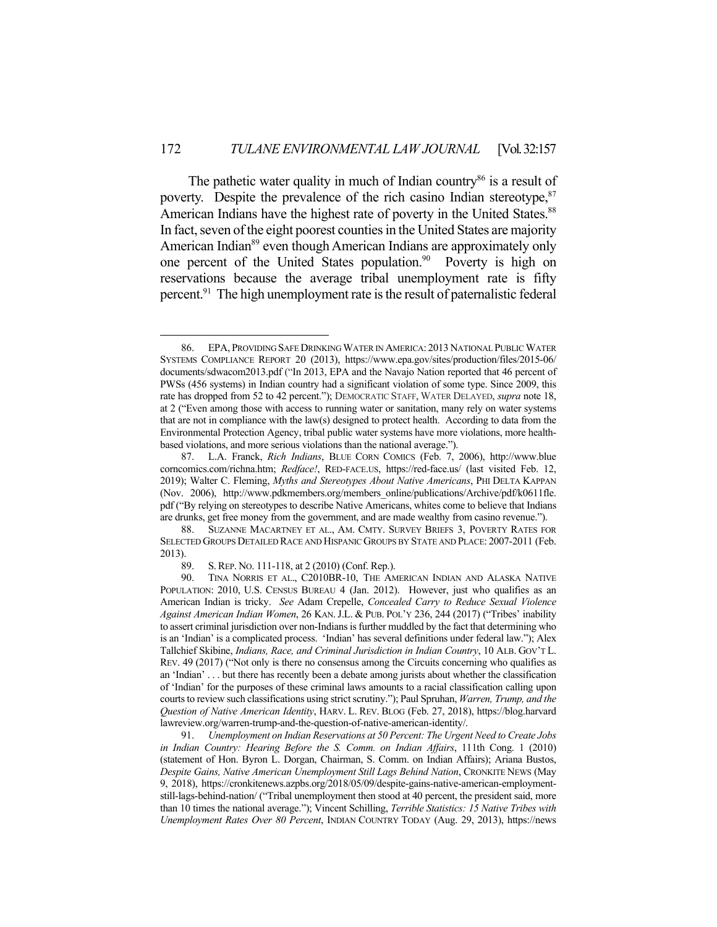The pathetic water quality in much of Indian country<sup>86</sup> is a result of poverty. Despite the prevalence of the rich casino Indian stereotype,<sup>87</sup> American Indians have the highest rate of poverty in the United States.<sup>88</sup> In fact, seven of the eight poorest counties in the United States are majority American Indian<sup>89</sup> even though American Indians are approximately only one percent of the United States population.<sup>90</sup> Poverty is high on reservations because the average tribal unemployment rate is fifty percent.<sup>91</sup> The high unemployment rate is the result of paternalistic federal

<u>.</u>

 <sup>86.</sup> EPA, PROVIDING SAFE DRINKING WATER IN AMERICA: 2013 NATIONAL PUBLIC WATER SYSTEMS COMPLIANCE REPORT 20 (2013), https://www.epa.gov/sites/production/files/2015-06/ documents/sdwacom2013.pdf ("In 2013, EPA and the Navajo Nation reported that 46 percent of PWSs (456 systems) in Indian country had a significant violation of some type. Since 2009, this rate has dropped from 52 to 42 percent."); DEMOCRATIC STAFF, WATER DELAYED, *supra* note 18, at 2 ("Even among those with access to running water or sanitation, many rely on water systems that are not in compliance with the law(s) designed to protect health. According to data from the Environmental Protection Agency, tribal public water systems have more violations, more healthbased violations, and more serious violations than the national average.").

 <sup>87.</sup> L.A. Franck, *Rich Indians*, BLUE CORN COMICS (Feb. 7, 2006), http://www.blue corncomics.com/richna.htm; *Redface!*, RED-FACE.US, https://red-face.us/ (last visited Feb. 12, 2019); Walter C. Fleming, *Myths and Stereotypes About Native Americans*, PHI DELTA KAPPAN (Nov. 2006), http://www.pdkmembers.org/members\_online/publications/Archive/pdf/k0611fle. pdf ("By relying on stereotypes to describe Native Americans, whites come to believe that Indians are drunks, get free money from the government, and are made wealthy from casino revenue.").

 <sup>88.</sup> SUZANNE MACARTNEY ET AL., AM. CMTY. SURVEY BRIEFS 3, POVERTY RATES FOR SELECTED GROUPS DETAILED RACE AND HISPANIC GROUPS BY STATE AND PLACE: 2007-2011 (Feb. 2013).

 <sup>89.</sup> S.REP. NO. 111-118, at 2 (2010) (Conf. Rep.).

 <sup>90.</sup> TINA NORRIS ET AL., C2010BR-10, THE AMERICAN INDIAN AND ALASKA NATIVE POPULATION: 2010, U.S. CENSUS BUREAU 4 (Jan. 2012). However, just who qualifies as an American Indian is tricky. *See* Adam Crepelle, *Concealed Carry to Reduce Sexual Violence Against American Indian Women*, 26 KAN.J.L. & PUB. POL'Y 236, 244 (2017) ("Tribes' inability to assert criminal jurisdiction over non-Indians is further muddled by the fact that determining who is an 'Indian' is a complicated process. 'Indian' has several definitions under federal law."); Alex Tallchief Skibine, *Indians, Race, and Criminal Jurisdiction in Indian Country*, 10 ALB. GOV'T L. REV. 49 (2017) ("Not only is there no consensus among the Circuits concerning who qualifies as an 'Indian' . . . but there has recently been a debate among jurists about whether the classification of 'Indian' for the purposes of these criminal laws amounts to a racial classification calling upon courts to review such classifications using strict scrutiny."); Paul Spruhan, *Warren, Trump, and the Question of Native American Identity*, HARV. L. REV. BLOG (Feb. 27, 2018), https://blog.harvard lawreview.org/warren-trump-and-the-question-of-native-american-identity/.

 <sup>91.</sup> *Unemployment on Indian Reservations at 50 Percent: The Urgent Need to Create Jobs in Indian Country: Hearing Before the S. Comm. on Indian Affairs*, 111th Cong. 1 (2010) (statement of Hon. Byron L. Dorgan, Chairman, S. Comm. on Indian Affairs); Ariana Bustos, *Despite Gains, Native American Unemployment Still Lags Behind Nation*, CRONKITE NEWS (May 9, 2018), https://cronkitenews.azpbs.org/2018/05/09/despite-gains-native-american-employmentstill-lags-behind-nation/ ("Tribal unemployment then stood at 40 percent, the president said, more than 10 times the national average."); Vincent Schilling, *Terrible Statistics: 15 Native Tribes with Unemployment Rates Over 80 Percent*, INDIAN COUNTRY TODAY (Aug. 29, 2013), https://news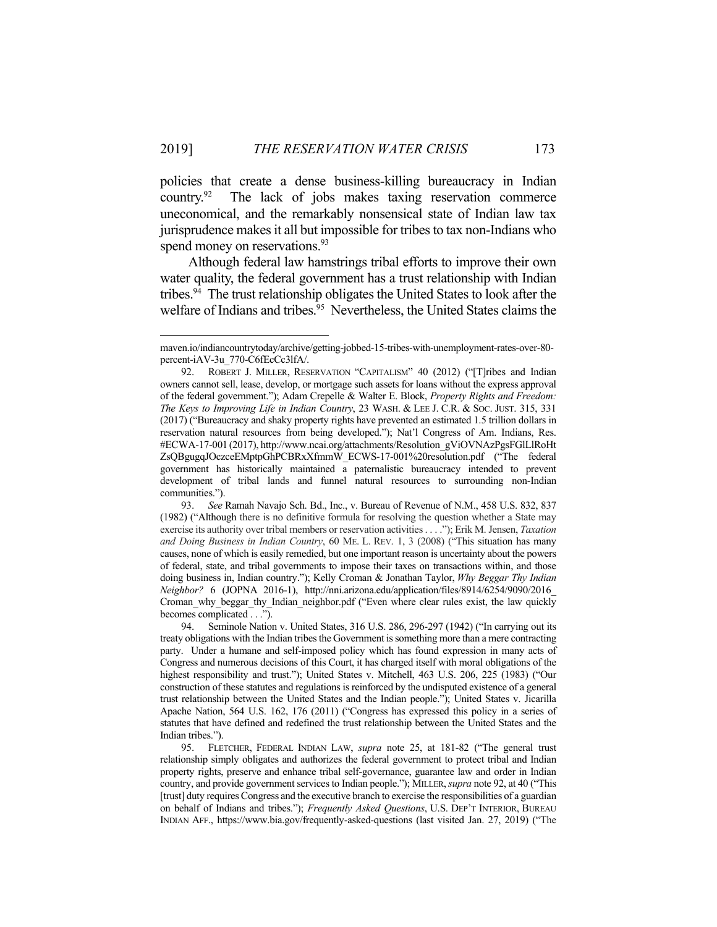<u>.</u>

policies that create a dense business-killing bureaucracy in Indian country.<sup>92</sup> The lack of jobs makes taxing reservation commerce uneconomical, and the remarkably nonsensical state of Indian law tax jurisprudence makes it all but impossible for tribes to tax non-Indians who spend money on reservations.<sup>93</sup>

 Although federal law hamstrings tribal efforts to improve their own water quality, the federal government has a trust relationship with Indian tribes.<sup>94</sup> The trust relationship obligates the United States to look after the welfare of Indians and tribes.<sup>95</sup> Nevertheless, the United States claims the

maven.io/indiancountrytoday/archive/getting-jobbed-15-tribes-with-unemployment-rates-over-80 percent-iAV-3u\_770-C6fEcCc3lfA/.

 <sup>92.</sup> ROBERT J. MILLER, RESERVATION "CAPITALISM" 40 (2012) ("[T]ribes and Indian owners cannot sell, lease, develop, or mortgage such assets for loans without the express approval of the federal government."); Adam Crepelle & Walter E. Block, *Property Rights and Freedom: The Keys to Improving Life in Indian Country*, 23 WASH. & LEE J. C.R. & SOC. JUST. 315, 331 (2017) ("Bureaucracy and shaky property rights have prevented an estimated 1.5 trillion dollars in reservation natural resources from being developed."); Nat'l Congress of Am. Indians, Res. #ECWA-17-001 (2017), http://www.ncai.org/attachments/Resolution\_gViOVNAzPgsFGlLlRoHt ZsQBgugqJOczceEMptpGhPCBRxXfmmW\_ECWS-17-001%20resolution.pdf ("The federal government has historically maintained a paternalistic bureaucracy intended to prevent development of tribal lands and funnel natural resources to surrounding non-Indian communities.").

 <sup>93.</sup> *See* Ramah Navajo Sch. Bd., Inc., v. Bureau of Revenue of N.M., 458 U.S. 832, 837 (1982) ("Although there is no definitive formula for resolving the question whether a State may exercise its authority over tribal members or reservation activities . . . ."); Erik M. Jensen, *Taxation and Doing Business in Indian Country*, 60 ME. L. REV. 1, 3 (2008) ("This situation has many causes, none of which is easily remedied, but one important reason is uncertainty about the powers of federal, state, and tribal governments to impose their taxes on transactions within, and those doing business in, Indian country."); Kelly Croman & Jonathan Taylor, *Why Beggar Thy Indian Neighbor?* 6 (JOPNA 2016-1), http://nni.arizona.edu/application/files/8914/6254/9090/2016\_ Croman why beggar thy Indian neighbor.pdf ("Even where clear rules exist, the law quickly becomes complicated . . .").

 <sup>94.</sup> Seminole Nation v. United States, 316 U.S. 286, 296-297 (1942) ("In carrying out its treaty obligations with the Indian tribes the Government is something more than a mere contracting party. Under a humane and self-imposed policy which has found expression in many acts of Congress and numerous decisions of this Court, it has charged itself with moral obligations of the highest responsibility and trust."); United States v. Mitchell, 463 U.S. 206, 225 (1983) ("Our construction of these statutes and regulations is reinforced by the undisputed existence of a general trust relationship between the United States and the Indian people."); United States v. Jicarilla Apache Nation, 564 U.S. 162, 176 (2011) ("Congress has expressed this policy in a series of statutes that have defined and redefined the trust relationship between the United States and the Indian tribes.").

 <sup>95.</sup> FLETCHER, FEDERAL INDIAN LAW, *supra* note 25, at 181-82 ("The general trust relationship simply obligates and authorizes the federal government to protect tribal and Indian property rights, preserve and enhance tribal self-governance, guarantee law and order in Indian country, and provide government services to Indian people."); MILLER, *supra* note 92, at 40 ("This [trust] duty requires Congress and the executive branch to exercise the responsibilities of a guardian on behalf of Indians and tribes."); *Frequently Asked Questions*, U.S. DEP'T INTERIOR, BUREAU INDIAN AFF., https://www.bia.gov/frequently-asked-questions (last visited Jan. 27, 2019) ("The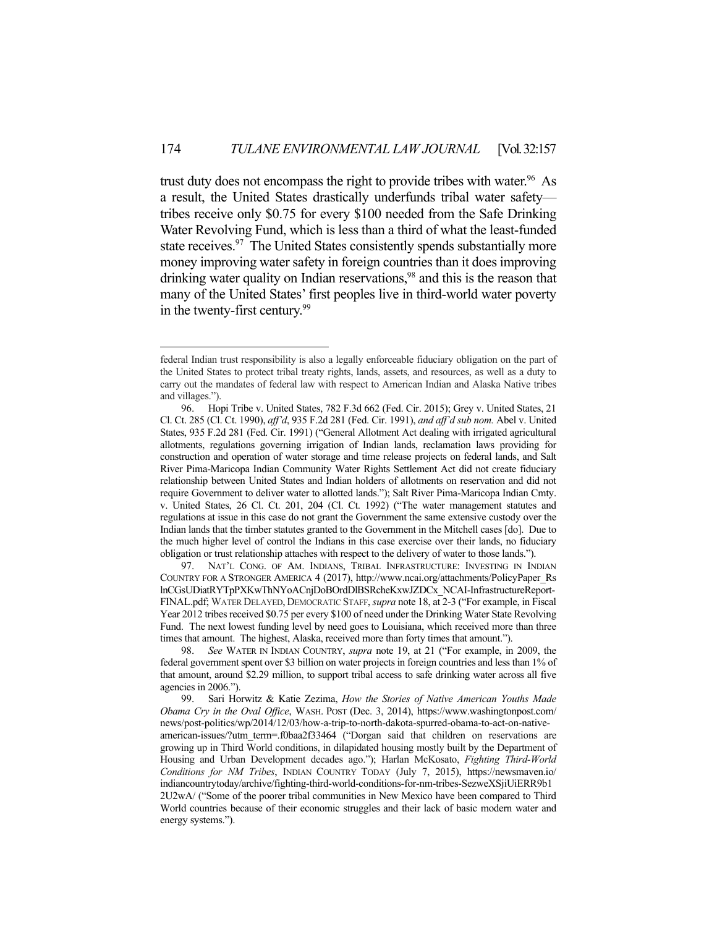trust duty does not encompass the right to provide tribes with water.<sup>96</sup> As a result, the United States drastically underfunds tribal water safety tribes receive only \$0.75 for every \$100 needed from the Safe Drinking Water Revolving Fund, which is less than a third of what the least-funded state receives.<sup>97</sup> The United States consistently spends substantially more money improving water safety in foreign countries than it does improving drinking water quality on Indian reservations,<sup>98</sup> and this is the reason that many of the United States' first peoples live in third-world water poverty in the twenty-first century.<sup>99</sup>

1

 97. NAT'L CONG. OF AM. INDIANS, TRIBAL INFRASTRUCTURE: INVESTING IN INDIAN COUNTRY FOR A STRONGER AMERICA 4 (2017), http://www.ncai.org/attachments/PolicyPaper\_Rs lnCGsUDiatRYTpPXKwThNYoACnjDoBOrdDlBSRcheKxwJZDCx\_NCAI-InfrastructureReport-FINAL.pdf; WATER DELAYED, DEMOCRATIC STAFF, *supra* note 18, at 2-3 ("For example, in Fiscal Year 2012 tribes received \$0.75 per every \$100 of need under the Drinking Water State Revolving Fund. The next lowest funding level by need goes to Louisiana, which received more than three times that amount. The highest, Alaska, received more than forty times that amount.").

 98. *See* WATER IN INDIAN COUNTRY, *supra* note 19, at 21 ("For example, in 2009, the federal government spent over \$3 billion on water projects in foreign countries and less than 1% of that amount, around \$2.29 million, to support tribal access to safe drinking water across all five agencies in 2006.").

federal Indian trust responsibility is also a legally enforceable fiduciary obligation on the part of the United States to protect tribal treaty rights, lands, assets, and resources, as well as a duty to carry out the mandates of federal law with respect to American Indian and Alaska Native tribes and villages.").

 <sup>96.</sup> Hopi Tribe v. United States, 782 F.3d 662 (Fed. Cir. 2015); Grey v. United States, 21 Cl. Ct. 285 (Cl. Ct. 1990), *aff'd*, 935 F.2d 281 (Fed. Cir. 1991), *and aff'd sub nom.* Abel v. United States, 935 F.2d 281 (Fed. Cir. 1991) ("General Allotment Act dealing with irrigated agricultural allotments, regulations governing irrigation of Indian lands, reclamation laws providing for construction and operation of water storage and time release projects on federal lands, and Salt River Pima-Maricopa Indian Community Water Rights Settlement Act did not create fiduciary relationship between United States and Indian holders of allotments on reservation and did not require Government to deliver water to allotted lands."); Salt River Pima-Maricopa Indian Cmty. v. United States, 26 Cl. Ct. 201, 204 (Cl. Ct. 1992) ("The water management statutes and regulations at issue in this case do not grant the Government the same extensive custody over the Indian lands that the timber statutes granted to the Government in the Mitchell cases [do]. Due to the much higher level of control the Indians in this case exercise over their lands, no fiduciary obligation or trust relationship attaches with respect to the delivery of water to those lands.").

 <sup>99.</sup> Sari Horwitz & Katie Zezima, *How the Stories of Native American Youths Made Obama Cry in the Oval Office*, WASH. POST (Dec. 3, 2014), https://www.washingtonpost.com/ news/post-politics/wp/2014/12/03/how-a-trip-to-north-dakota-spurred-obama-to-act-on-nativeamerican-issues/?utm\_term=.f0baa2f33464 ("Dorgan said that children on reservations are growing up in Third World conditions, in dilapidated housing mostly built by the Department of Housing and Urban Development decades ago."); Harlan McKosato, *Fighting Third-World Conditions for NM Tribes*, INDIAN COUNTRY TODAY (July 7, 2015), https://newsmaven.io/ indiancountrytoday/archive/fighting-third-world-conditions-for-nm-tribes-SezweXSjiUiERR9b1 2U2wA/ ("Some of the poorer tribal communities in New Mexico have been compared to Third World countries because of their economic struggles and their lack of basic modern water and energy systems.").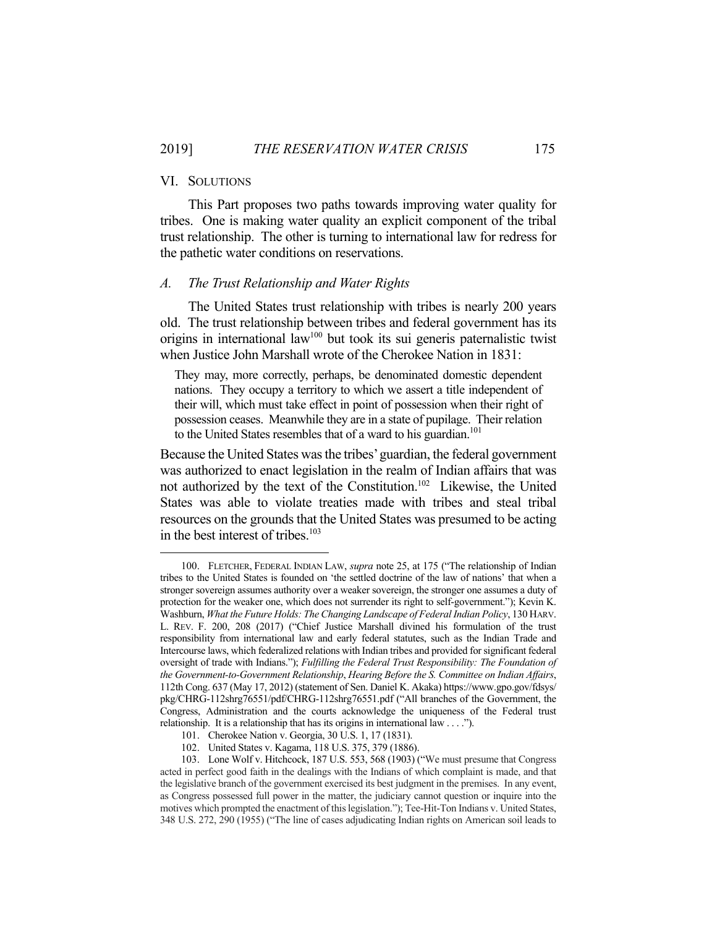## VI. SOLUTIONS

1

 This Part proposes two paths towards improving water quality for tribes. One is making water quality an explicit component of the tribal trust relationship. The other is turning to international law for redress for the pathetic water conditions on reservations.

#### *A. The Trust Relationship and Water Rights*

 The United States trust relationship with tribes is nearly 200 years old. The trust relationship between tribes and federal government has its origins in international law<sup>100</sup> but took its sui generis paternalistic twist when Justice John Marshall wrote of the Cherokee Nation in 1831:

They may, more correctly, perhaps, be denominated domestic dependent nations. They occupy a territory to which we assert a title independent of their will, which must take effect in point of possession when their right of possession ceases. Meanwhile they are in a state of pupilage. Their relation to the United States resembles that of a ward to his guardian.<sup>101</sup>

Because the United States was the tribes' guardian, the federal government was authorized to enact legislation in the realm of Indian affairs that was not authorized by the text of the Constitution.102 Likewise, the United States was able to violate treaties made with tribes and steal tribal resources on the grounds that the United States was presumed to be acting in the best interest of tribes.<sup>103</sup>

 <sup>100.</sup> FLETCHER, FEDERAL INDIAN LAW, *supra* note 25, at 175 ("The relationship of Indian tribes to the United States is founded on 'the settled doctrine of the law of nations' that when a stronger sovereign assumes authority over a weaker sovereign, the stronger one assumes a duty of protection for the weaker one, which does not surrender its right to self-government."); Kevin K. Washburn, *What the Future Holds: The Changing Landscape of Federal Indian Policy*, 130 HARV. L. REV. F. 200, 208 (2017) ("Chief Justice Marshall divined his formulation of the trust responsibility from international law and early federal statutes, such as the Indian Trade and Intercourse laws, which federalized relations with Indian tribes and provided for significant federal oversight of trade with Indians."); *Fulfilling the Federal Trust Responsibility: The Foundation of the Government-to-Government Relationship*, *Hearing Before the S. Committee on Indian Affairs*, 112th Cong. 637 (May 17, 2012) (statement of Sen. Daniel K. Akaka) https://www.gpo.gov/fdsys/ pkg/CHRG-112shrg76551/pdf/CHRG-112shrg76551.pdf ("All branches of the Government, the Congress, Administration and the courts acknowledge the uniqueness of the Federal trust relationship. It is a relationship that has its origins in international law . . . .").

 <sup>101.</sup> Cherokee Nation v. Georgia, 30 U.S. 1, 17 (1831).

 <sup>102.</sup> United States v. Kagama, 118 U.S. 375, 379 (1886).

 <sup>103.</sup> Lone Wolf v. Hitchcock, 187 U.S. 553, 568 (1903) ("We must presume that Congress acted in perfect good faith in the dealings with the Indians of which complaint is made, and that the legislative branch of the government exercised its best judgment in the premises. In any event, as Congress possessed full power in the matter, the judiciary cannot question or inquire into the motives which prompted the enactment of this legislation."); Tee-Hit-Ton Indians v. United States, 348 U.S. 272, 290 (1955) ("The line of cases adjudicating Indian rights on American soil leads to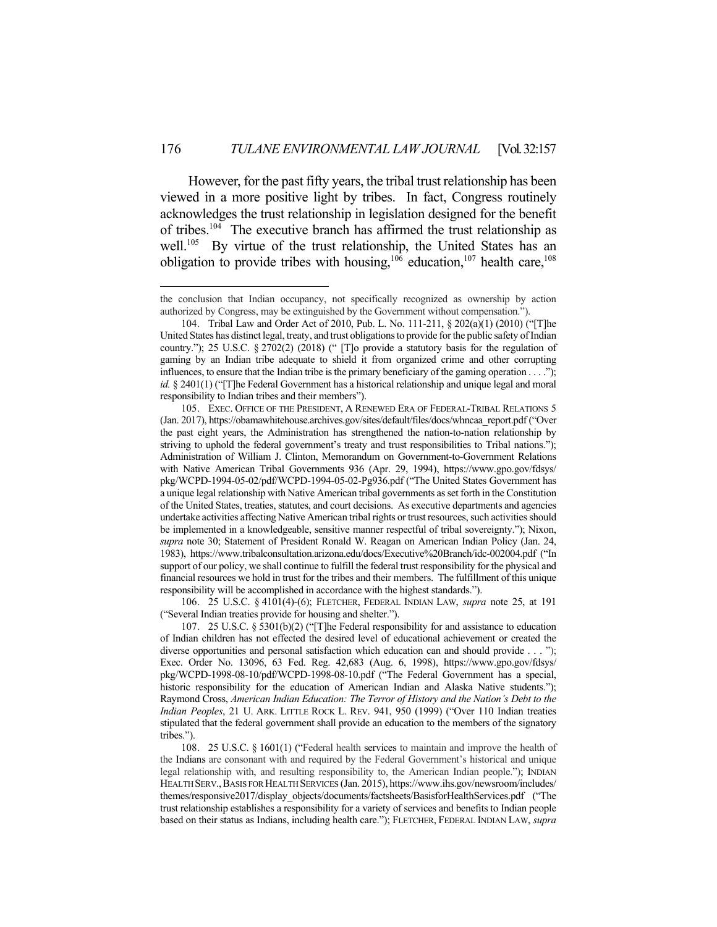However, for the past fifty years, the tribal trust relationship has been viewed in a more positive light by tribes. In fact, Congress routinely acknowledges the trust relationship in legislation designed for the benefit of tribes.<sup>104</sup> The executive branch has affirmed the trust relationship as well.<sup>105</sup> By virtue of the trust relationship, the United States has an obligation to provide tribes with housing,<sup>106</sup> education,<sup>107</sup> health care,<sup>108</sup>

1

 106. 25 U.S.C. § 4101(4)-(6); FLETCHER, FEDERAL INDIAN LAW, *supra* note 25, at 191 ("Several Indian treaties provide for housing and shelter.").

 107. 25 U.S.C. § 5301(b)(2) ("[T]he Federal responsibility for and assistance to education of Indian children has not effected the desired level of educational achievement or created the diverse opportunities and personal satisfaction which education can and should provide . . . "); Exec. Order No. 13096, 63 Fed. Reg. 42,683 (Aug. 6, 1998), https://www.gpo.gov/fdsys/ pkg/WCPD-1998-08-10/pdf/WCPD-1998-08-10.pdf ("The Federal Government has a special, historic responsibility for the education of American Indian and Alaska Native students."); Raymond Cross, *American Indian Education: The Terror of History and the Nation's Debt to the Indian Peoples*, 21 U. ARK. LITTLE ROCK L. REV. 941, 950 (1999) ("Over 110 Indian treaties stipulated that the federal government shall provide an education to the members of the signatory tribes.").

 108. 25 U.S.C. § 1601(1) ("Federal health services to maintain and improve the health of the Indians are consonant with and required by the Federal Government's historical and unique legal relationship with, and resulting responsibility to, the American Indian people."); INDIAN HEALTH SERV.,BASIS FOR HEALTH SERVICES (Jan. 2015), https://www.ihs.gov/newsroom/includes/ themes/responsive2017/display\_objects/documents/factsheets/BasisforHealthServices.pdf ("The trust relationship establishes a responsibility for a variety of services and benefits to Indian people based on their status as Indians, including health care."); FLETCHER, FEDERAL INDIAN LAW, *supra*

the conclusion that Indian occupancy, not specifically recognized as ownership by action authorized by Congress, may be extinguished by the Government without compensation.").

 <sup>104.</sup> Tribal Law and Order Act of 2010, Pub. L. No. 111-211, § 202(a)(1) (2010) ("[T]he United States has distinct legal, treaty, and trust obligations to provide for the public safety of Indian country."); 25 U.S.C. § 2702(2) (2018) (" [T]o provide a statutory basis for the regulation of gaming by an Indian tribe adequate to shield it from organized crime and other corrupting influences, to ensure that the Indian tribe is the primary beneficiary of the gaming operation . . . ."); *id.* § 2401(1) ("[T]he Federal Government has a historical relationship and unique legal and moral responsibility to Indian tribes and their members").

 <sup>105.</sup> EXEC. OFFICE OF THE PRESIDENT, A RENEWED ERA OF FEDERAL-TRIBAL RELATIONS 5 (Jan. 2017), https://obamawhitehouse.archives.gov/sites/default/files/docs/whncaa\_report.pdf ("Over the past eight years, the Administration has strengthened the nation-to-nation relationship by striving to uphold the federal government's treaty and trust responsibilities to Tribal nations."); Administration of William J. Clinton, Memorandum on Government-to-Government Relations with Native American Tribal Governments 936 (Apr. 29, 1994), https://www.gpo.gov/fdsys/ pkg/WCPD-1994-05-02/pdf/WCPD-1994-05-02-Pg936.pdf ("The United States Government has a unique legal relationship with Native American tribal governments as set forth in the Constitution of the United States, treaties, statutes, and court decisions. As executive departments and agencies undertake activities affecting Native American tribal rights or trust resources, such activities should be implemented in a knowledgeable, sensitive manner respectful of tribal sovereignty."); Nixon, *supra* note 30; Statement of President Ronald W. Reagan on American Indian Policy (Jan. 24, 1983), https://www.tribalconsultation.arizona.edu/docs/Executive%20Branch/idc-002004.pdf ("In support of our policy, we shall continue to fulfill the federal trust responsibility for the physical and financial resources we hold in trust for the tribes and their members. The fulfillment of this unique responsibility will be accomplished in accordance with the highest standards.").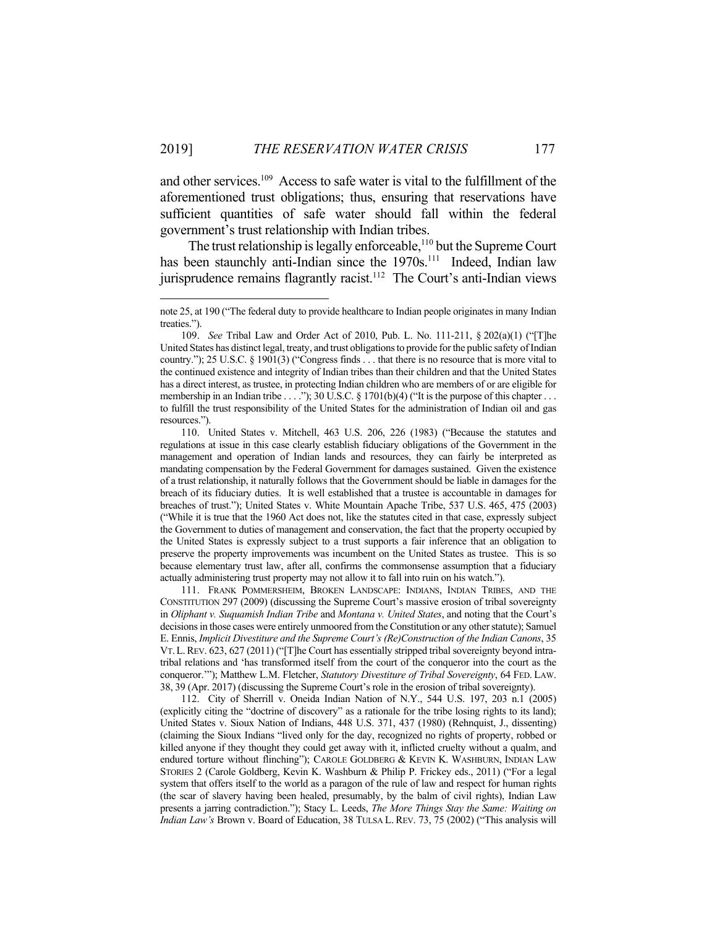<u>.</u>

and other services.109 Access to safe water is vital to the fulfillment of the aforementioned trust obligations; thus, ensuring that reservations have sufficient quantities of safe water should fall within the federal government's trust relationship with Indian tribes.

The trust relationship is legally enforceable,<sup>110</sup> but the Supreme Court has been staunchly anti-Indian since the 1970s.<sup>111</sup> Indeed, Indian law jurisprudence remains flagrantly racist.<sup>112</sup> The Court's anti-Indian views

 111. FRANK POMMERSHEIM, BROKEN LANDSCAPE: INDIANS, INDIAN TRIBES, AND THE CONSTITUTION 297 (2009) (discussing the Supreme Court's massive erosion of tribal sovereignty in *Oliphant v. Suquamish Indian Tribe* and *Montana v. United States*, and noting that the Court's decisions in those cases were entirely unmoored from the Constitution or any other statute); Samuel E. Ennis, *Implicit Divestiture and the Supreme Court's (Re)Construction of the Indian Canons*, 35 VT.L.REV. 623, 627 (2011) ("[T]he Court has essentially stripped tribal sovereignty beyond intratribal relations and 'has transformed itself from the court of the conqueror into the court as the conqueror.'"); Matthew L.M. Fletcher, *Statutory Divestiture of Tribal Sovereignty*, 64 FED. LAW. 38, 39 (Apr. 2017) (discussing the Supreme Court's role in the erosion of tribal sovereignty).

 112. City of Sherrill v. Oneida Indian Nation of N.Y., 544 U.S. 197, 203 n.1 (2005) (explicitly citing the "doctrine of discovery" as a rationale for the tribe losing rights to its land); United States v. Sioux Nation of Indians, 448 U.S. 371, 437 (1980) (Rehnquist, J., dissenting) (claiming the Sioux Indians "lived only for the day, recognized no rights of property, robbed or killed anyone if they thought they could get away with it, inflicted cruelty without a qualm, and endured torture without flinching"); CAROLE GOLDBERG & KEVIN K. WASHBURN, INDIAN LAW STORIES 2 (Carole Goldberg, Kevin K. Washburn & Philip P. Frickey eds., 2011) ("For a legal system that offers itself to the world as a paragon of the rule of law and respect for human rights (the scar of slavery having been healed, presumably, by the balm of civil rights), Indian Law presents a jarring contradiction."); Stacy L. Leeds, *The More Things Stay the Same: Waiting on Indian Law's* Brown v. Board of Education, 38 TULSA L. REV. 73, 75 (2002) ("This analysis will

note 25, at 190 ("The federal duty to provide healthcare to Indian people originates in many Indian treaties.").

 <sup>109.</sup> *See* Tribal Law and Order Act of 2010, Pub. L. No. 111-211, § 202(a)(1) ("[T]he United States has distinct legal, treaty, and trust obligations to provide for the public safety of Indian country."); 25 U.S.C. § 1901(3) ("Congress finds . . . that there is no resource that is more vital to the continued existence and integrity of Indian tribes than their children and that the United States has a direct interest, as trustee, in protecting Indian children who are members of or are eligible for membership in an Indian tribe . . . ."); 30 U.S.C. § 1701(b)(4) ("It is the purpose of this chapter . . . to fulfill the trust responsibility of the United States for the administration of Indian oil and gas resources.").

 <sup>110.</sup> United States v. Mitchell, 463 U.S. 206, 226 (1983) ("Because the statutes and regulations at issue in this case clearly establish fiduciary obligations of the Government in the management and operation of Indian lands and resources, they can fairly be interpreted as mandating compensation by the Federal Government for damages sustained. Given the existence of a trust relationship, it naturally follows that the Government should be liable in damages for the breach of its fiduciary duties. It is well established that a trustee is accountable in damages for breaches of trust."); United States v. White Mountain Apache Tribe, 537 U.S. 465, 475 (2003) ("While it is true that the 1960 Act does not, like the statutes cited in that case, expressly subject the Government to duties of management and conservation, the fact that the property occupied by the United States is expressly subject to a trust supports a fair inference that an obligation to preserve the property improvements was incumbent on the United States as trustee. This is so because elementary trust law, after all, confirms the commonsense assumption that a fiduciary actually administering trust property may not allow it to fall into ruin on his watch.").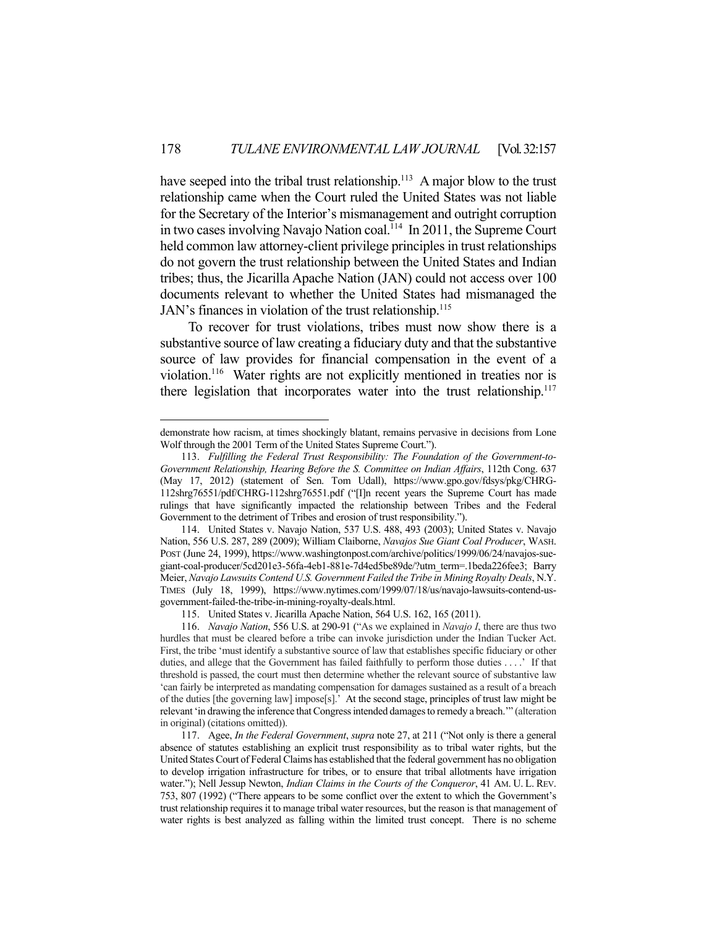have seeped into the tribal trust relationship.<sup>113</sup> A major blow to the trust relationship came when the Court ruled the United States was not liable for the Secretary of the Interior's mismanagement and outright corruption in two cases involving Navajo Nation coal.<sup>114</sup> In 2011, the Supreme Court held common law attorney-client privilege principles in trust relationships do not govern the trust relationship between the United States and Indian tribes; thus, the Jicarilla Apache Nation (JAN) could not access over 100 documents relevant to whether the United States had mismanaged the JAN's finances in violation of the trust relationship.<sup>115</sup>

 To recover for trust violations, tribes must now show there is a substantive source of law creating a fiduciary duty and that the substantive source of law provides for financial compensation in the event of a violation.116 Water rights are not explicitly mentioned in treaties nor is there legislation that incorporates water into the trust relationship.<sup>117</sup>

<u>.</u>

115. United States v. Jicarilla Apache Nation, 564 U.S. 162, 165 (2011).

demonstrate how racism, at times shockingly blatant, remains pervasive in decisions from Lone Wolf through the 2001 Term of the United States Supreme Court.").

 <sup>113.</sup> *Fulfilling the Federal Trust Responsibility: The Foundation of the Government-to-Government Relationship, Hearing Before the S. Committee on Indian Affairs*, 112th Cong. 637 (May 17, 2012) (statement of Sen. Tom Udall), https://www.gpo.gov/fdsys/pkg/CHRG-112shrg76551/pdf/CHRG-112shrg76551.pdf ("[I]n recent years the Supreme Court has made rulings that have significantly impacted the relationship between Tribes and the Federal Government to the detriment of Tribes and erosion of trust responsibility.").

 <sup>114.</sup> United States v. Navajo Nation, 537 U.S. 488, 493 (2003); United States v. Navajo Nation, 556 U.S. 287, 289 (2009); William Claiborne, *Navajos Sue Giant Coal Producer*, WASH. POST (June 24, 1999), https://www.washingtonpost.com/archive/politics/1999/06/24/navajos-suegiant-coal-producer/5cd201e3-56fa-4eb1-881e-7d4ed5be89de/?utm\_term=.1beda226fee3; Barry Meier, *Navajo Lawsuits Contend U.S. Government Failed the Tribe in Mining Royalty Deals*, N.Y. TIMES (July 18, 1999), https://www.nytimes.com/1999/07/18/us/navajo-lawsuits-contend-usgovernment-failed-the-tribe-in-mining-royalty-deals.html.

 <sup>116.</sup> *Navajo Nation*, 556 U.S. at 290-91 ("As we explained in *Navajo I*, there are thus two hurdles that must be cleared before a tribe can invoke jurisdiction under the Indian Tucker Act. First, the tribe 'must identify a substantive source of law that establishes specific fiduciary or other duties, and allege that the Government has failed faithfully to perform those duties . . . .' If that threshold is passed, the court must then determine whether the relevant source of substantive law 'can fairly be interpreted as mandating compensation for damages sustained as a result of a breach of the duties [the governing law] impose[s].' At the second stage, principles of trust law might be relevant 'in drawing the inference that Congress intended damages to remedy a breach.'" (alteration in original) (citations omitted)).

 <sup>117.</sup> Agee, *In the Federal Government*, *supra* note 27, at 211 ("Not only is there a general absence of statutes establishing an explicit trust responsibility as to tribal water rights, but the United States Court of Federal Claims has established that the federal government has no obligation to develop irrigation infrastructure for tribes, or to ensure that tribal allotments have irrigation water."); Nell Jessup Newton, *Indian Claims in the Courts of the Conqueror*, 41 AM. U. L. REV. 753, 807 (1992) ("There appears to be some conflict over the extent to which the Government's trust relationship requires it to manage tribal water resources, but the reason is that management of water rights is best analyzed as falling within the limited trust concept. There is no scheme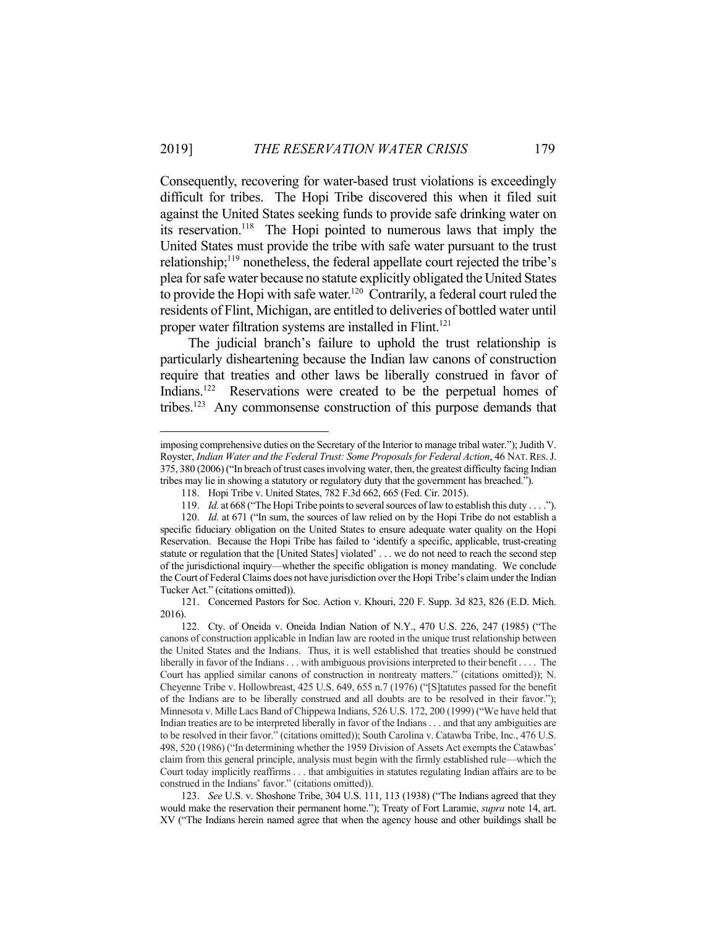Consequently, recovering for water-based trust violations is exceedingly difficult for tribes. The Hopi Tribe discovered this when it filed suit against the United States seeking funds to provide safe drinking water on its reservation.118 The Hopi pointed to numerous laws that imply the United States must provide the tribe with safe water pursuant to the trust relationship;<sup>119</sup> nonetheless, the federal appellate court rejected the tribe's plea for safe water because no statute explicitly obligated the United States to provide the Hopi with safe water.<sup>120</sup> Contrarily, a federal court ruled the residents of Flint, Michigan, are entitled to deliveries of bottled water until proper water filtration systems are installed in Flint.<sup>121</sup>

 The judicial branch's failure to uphold the trust relationship is particularly disheartening because the Indian law canons of construction require that treaties and other laws be liberally construed in favor of Indians.<sup>122</sup> Reservations were created to be the perpetual homes of tribes.123 Any commonsense construction of this purpose demands that

imposing comprehensive duties on the Secretary of the Interior to manage tribal water."); Judith V. Royster, *Indian Water and the Federal Trust: Some Proposals for Federal Action*, 46 NAT.RES.J. 375, 380 (2006) ("In breach of trust cases involving water, then, the greatest difficulty facing Indian tribes may lie in showing a statutory or regulatory duty that the government has breached.").

 <sup>118.</sup> Hopi Tribe v. United States, 782 F.3d 662, 665 (Fed. Cir. 2015).

 <sup>119.</sup> *Id.* at 668 ("The Hopi Tribe points to several sources of law to establish this duty . . . .").

 <sup>120.</sup> *Id.* at 671 ("In sum, the sources of law relied on by the Hopi Tribe do not establish a specific fiduciary obligation on the United States to ensure adequate water quality on the Hopi Reservation. Because the Hopi Tribe has failed to 'identify a specific, applicable, trust-creating statute or regulation that the [United States] violated' . . . we do not need to reach the second step of the jurisdictional inquiry—whether the specific obligation is money mandating. We conclude the Court of Federal Claims does not have jurisdiction over the Hopi Tribe's claim under the Indian Tucker Act." (citations omitted)).

 <sup>121.</sup> Concerned Pastors for Soc. Action v. Khouri, 220 F. Supp. 3d 823, 826 (E.D. Mich. 2016).

 <sup>122.</sup> Cty. of Oneida v. Oneida Indian Nation of N.Y., 470 U.S. 226, 247 (1985) ("The canons of construction applicable in Indian law are rooted in the unique trust relationship between the United States and the Indians. Thus, it is well established that treaties should be construed liberally in favor of the Indians . . . with ambiguous provisions interpreted to their benefit . . . . The Court has applied similar canons of construction in nontreaty matters." (citations omitted)); N. Cheyenne Tribe v. Hollowbreast, 425 U.S. 649, 655 n.7 (1976) ("[S]tatutes passed for the benefit of the Indians are to be liberally construed and all doubts are to be resolved in their favor."); Minnesota v. Mille Lacs Band of Chippewa Indians, 526 U.S. 172, 200 (1999) ("We have held that Indian treaties are to be interpreted liberally in favor of the Indians . . . and that any ambiguities are to be resolved in their favor." (citations omitted)); South Carolina v. Catawba Tribe, Inc., 476 U.S. 498, 520 (1986) ("In determining whether the 1959 Division of Assets Act exempts the Catawbas' claim from this general principle, analysis must begin with the firmly established rule—which the Court today implicitly reaffirms . . . that ambiguities in statutes regulating Indian affairs are to be construed in the Indians' favor." (citations omitted)).

 <sup>123.</sup> *See* U.S. v. Shoshone Tribe, 304 U.S. 111, 113 (1938) ("The Indians agreed that they would make the reservation their permanent home."); Treaty of Fort Laramie, *supra* note 14, art. XV ("The Indians herein named agree that when the agency house and other buildings shall be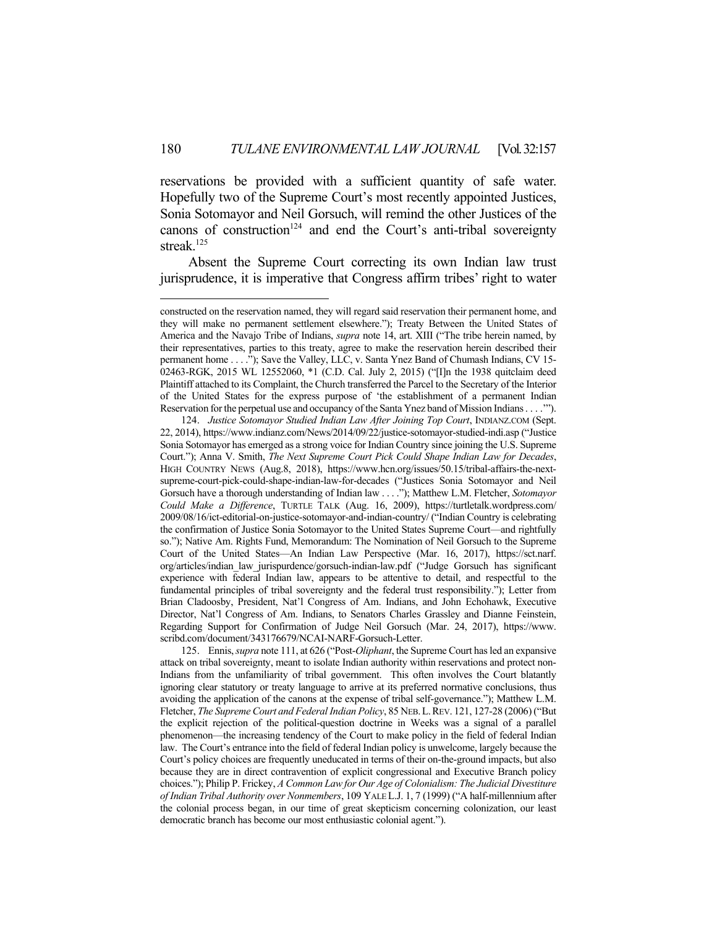reservations be provided with a sufficient quantity of safe water. Hopefully two of the Supreme Court's most recently appointed Justices, Sonia Sotomayor and Neil Gorsuch, will remind the other Justices of the canons of construction<sup>124</sup> and end the Court's anti-tribal sovereignty streak.125

 Absent the Supreme Court correcting its own Indian law trust jurisprudence, it is imperative that Congress affirm tribes' right to water

<u>.</u>

 125. Ennis, *supra* note 111, at 626 ("Post-*Oliphant*, the Supreme Court has led an expansive attack on tribal sovereignty, meant to isolate Indian authority within reservations and protect non-Indians from the unfamiliarity of tribal government. This often involves the Court blatantly ignoring clear statutory or treaty language to arrive at its preferred normative conclusions, thus avoiding the application of the canons at the expense of tribal self-governance."); Matthew L.M. Fletcher, *The Supreme Court and Federal Indian Policy*, 85 NEB.L.REV. 121, 127-28 (2006) ("But the explicit rejection of the political-question doctrine in Weeks was a signal of a parallel phenomenon—the increasing tendency of the Court to make policy in the field of federal Indian law. The Court's entrance into the field of federal Indian policy is unwelcome, largely because the Court's policy choices are frequently uneducated in terms of their on-the-ground impacts, but also because they are in direct contravention of explicit congressional and Executive Branch policy choices."); Philip P. Frickey, *A Common Law for Our Age of Colonialism: The Judicial Divestiture of Indian Tribal Authority over Nonmembers*, 109 YALE L.J. 1, 7 (1999) ("A half-millennium after the colonial process began, in our time of great skepticism concerning colonization, our least democratic branch has become our most enthusiastic colonial agent.").

constructed on the reservation named, they will regard said reservation their permanent home, and they will make no permanent settlement elsewhere."); Treaty Between the United States of America and the Navajo Tribe of Indians, *supra* note 14, art. XIII ("The tribe herein named, by their representatives, parties to this treaty, agree to make the reservation herein described their permanent home . . . ."); Save the Valley, LLC, v. Santa Ynez Band of Chumash Indians, CV 15- 02463-RGK, 2015 WL 12552060, \*1 (C.D. Cal. July 2, 2015) ("[I]n the 1938 quitclaim deed Plaintiff attached to its Complaint, the Church transferred the Parcel to the Secretary of the Interior of the United States for the express purpose of 'the establishment of a permanent Indian Reservation for the perpetual use and occupancy of the Santa Ynez band of Mission Indians . . . .'").

 <sup>124.</sup> *Justice Sotomayor Studied Indian Law After Joining Top Court*, INDIANZ.COM (Sept. 22, 2014), https://www.indianz.com/News/2014/09/22/justice-sotomayor-studied-indi.asp ("Justice Sonia Sotomayor has emerged as a strong voice for Indian Country since joining the U.S. Supreme Court."); Anna V. Smith, *The Next Supreme Court Pick Could Shape Indian Law for Decades*, HIGH COUNTRY NEWS (Aug.8, 2018), https://www.hcn.org/issues/50.15/tribal-affairs-the-nextsupreme-court-pick-could-shape-indian-law-for-decades ("Justices Sonia Sotomayor and Neil Gorsuch have a thorough understanding of Indian law . . . ."); Matthew L.M. Fletcher, *Sotomayor Could Make a Difference*, TURTLE TALK (Aug. 16, 2009), https://turtletalk.wordpress.com/ 2009/08/16/ict-editorial-on-justice-sotomayor-and-indian-country/ ("Indian Country is celebrating the confirmation of Justice Sonia Sotomayor to the United States Supreme Court—and rightfully so."); Native Am. Rights Fund, Memorandum: The Nomination of Neil Gorsuch to the Supreme Court of the United States—An Indian Law Perspective (Mar. 16, 2017), https://sct.narf. org/articles/indian\_law\_jurispurdence/gorsuch-indian-law.pdf ("Judge Gorsuch has significant experience with federal Indian law, appears to be attentive to detail, and respectful to the fundamental principles of tribal sovereignty and the federal trust responsibility."); Letter from Brian Cladoosby, President, Nat'l Congress of Am. Indians, and John Echohawk, Executive Director, Nat'l Congress of Am. Indians, to Senators Charles Grassley and Dianne Feinstein, Regarding Support for Confirmation of Judge Neil Gorsuch (Mar. 24, 2017), https://www. scribd.com/document/343176679/NCAI-NARF-Gorsuch-Letter.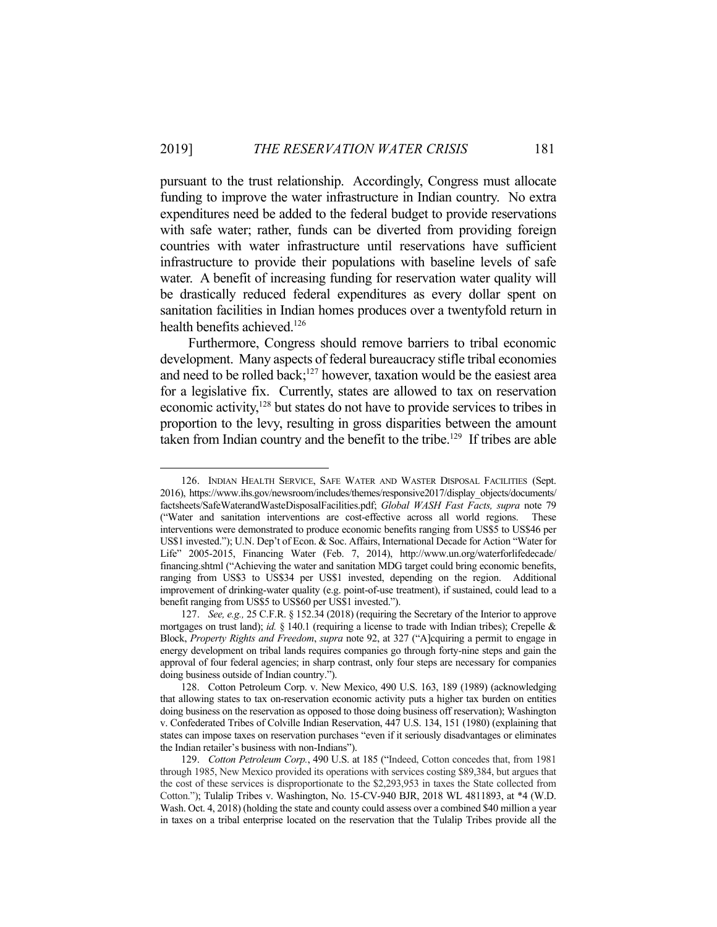pursuant to the trust relationship. Accordingly, Congress must allocate funding to improve the water infrastructure in Indian country. No extra expenditures need be added to the federal budget to provide reservations with safe water; rather, funds can be diverted from providing foreign countries with water infrastructure until reservations have sufficient infrastructure to provide their populations with baseline levels of safe water. A benefit of increasing funding for reservation water quality will be drastically reduced federal expenditures as every dollar spent on sanitation facilities in Indian homes produces over a twentyfold return in health benefits achieved.<sup>126</sup>

 Furthermore, Congress should remove barriers to tribal economic development. Many aspects of federal bureaucracy stifle tribal economies and need to be rolled back; $127$  however, taxation would be the easiest area for a legislative fix. Currently, states are allowed to tax on reservation economic activity,<sup>128</sup> but states do not have to provide services to tribes in proportion to the levy, resulting in gross disparities between the amount taken from Indian country and the benefit to the tribe.<sup>129</sup> If tribes are able

 <sup>126.</sup> INDIAN HEALTH SERVICE, SAFE WATER AND WASTER DISPOSAL FACILITIES (Sept. 2016), https://www.ihs.gov/newsroom/includes/themes/responsive2017/display\_objects/documents/ factsheets/SafeWaterandWasteDisposalFacilities.pdf; *Global WASH Fast Facts, supra* note 79 ("Water and sanitation interventions are cost-effective across all world regions. These interventions were demonstrated to produce economic benefits ranging from US\$5 to US\$46 per US\$1 invested."); U.N. Dep't of Econ. & Soc. Affairs, International Decade for Action "Water for Life" 2005-2015, Financing Water (Feb. 7, 2014), http://www.un.org/waterforlifedecade/ financing.shtml ("Achieving the water and sanitation MDG target could bring economic benefits, ranging from US\$3 to US\$34 per US\$1 invested, depending on the region. Additional improvement of drinking-water quality (e.g. point-of-use treatment), if sustained, could lead to a benefit ranging from US\$5 to US\$60 per US\$1 invested.").

 <sup>127.</sup> *See, e.g.,* 25 C.F.R. § 152.34 (2018) (requiring the Secretary of the Interior to approve mortgages on trust land); *id.* § 140.1 (requiring a license to trade with Indian tribes); Crepelle & Block, *Property Rights and Freedom*, *supra* note 92, at 327 ("A]cquiring a permit to engage in energy development on tribal lands requires companies go through forty-nine steps and gain the approval of four federal agencies; in sharp contrast, only four steps are necessary for companies doing business outside of Indian country.").

 <sup>128.</sup> Cotton Petroleum Corp. v. New Mexico, 490 U.S. 163, 189 (1989) (acknowledging that allowing states to tax on-reservation economic activity puts a higher tax burden on entities doing business on the reservation as opposed to those doing business off reservation); Washington v. Confederated Tribes of Colville Indian Reservation, 447 U.S. 134, 151 (1980) (explaining that states can impose taxes on reservation purchases "even if it seriously disadvantages or eliminates the Indian retailer's business with non-Indians").

 <sup>129.</sup> *Cotton Petroleum Corp.*, 490 U.S. at 185 ("Indeed, Cotton concedes that, from 1981 through 1985, New Mexico provided its operations with services costing \$89,384, but argues that the cost of these services is disproportionate to the \$2,293,953 in taxes the State collected from Cotton."); Tulalip Tribes v. Washington, No. 15-CV-940 BJR, 2018 WL 4811893, at \*4 (W.D. Wash. Oct. 4, 2018) (holding the state and county could assess over a combined \$40 million a year in taxes on a tribal enterprise located on the reservation that the Tulalip Tribes provide all the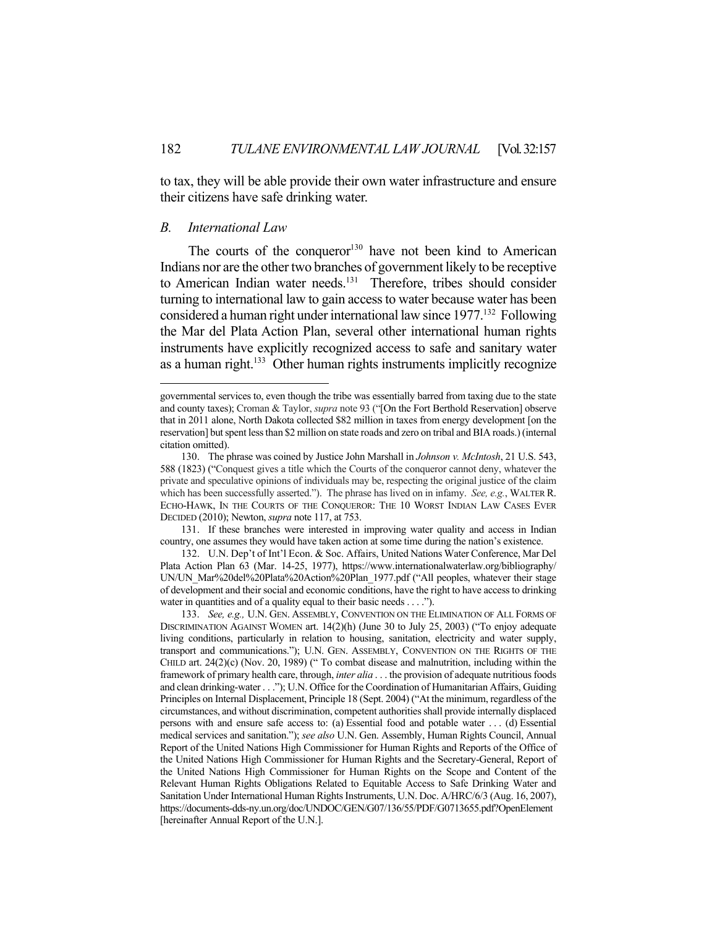to tax, they will be able provide their own water infrastructure and ensure their citizens have safe drinking water.

#### *B. International Law*

1

The courts of the conqueror<sup>130</sup> have not been kind to American Indians nor are the other two branches of government likely to be receptive to American Indian water needs.<sup>131</sup> Therefore, tribes should consider turning to international law to gain access to water because water has been considered a human right under international law since 1977.<sup>132</sup> Following the Mar del Plata Action Plan, several other international human rights instruments have explicitly recognized access to safe and sanitary water as a human right.<sup>133</sup> Other human rights instruments implicitly recognize

 131. If these branches were interested in improving water quality and access in Indian country, one assumes they would have taken action at some time during the nation's existence.

 132. U.N. Dep't of Int'l Econ. & Soc. Affairs, United Nations Water Conference, Mar Del Plata Action Plan 63 (Mar. 14-25, 1977), https://www.internationalwaterlaw.org/bibliography/ UN/UN\_Mar%20del%20Plata%20Action%20Plan\_1977.pdf ("All peoples, whatever their stage of development and their social and economic conditions, have the right to have access to drinking water in quantities and of a quality equal to their basic needs . . . .").

governmental services to, even though the tribe was essentially barred from taxing due to the state and county taxes); Croman & Taylor, *supra* note 93 ("[On the Fort Berthold Reservation] observe that in 2011 alone, North Dakota collected \$82 million in taxes from energy development [on the reservation] but spent less than \$2 million on state roads and zero on tribal and BIA roads.) (internal citation omitted).

 <sup>130.</sup> The phrase was coined by Justice John Marshall in *Johnson v. McIntosh*, 21 U.S. 543, 588 (1823) ("Conquest gives a title which the Courts of the conqueror cannot deny, whatever the private and speculative opinions of individuals may be, respecting the original justice of the claim which has been successfully asserted."). The phrase has lived on in infamy. *See, e.g.*, WALTER R. ECHO-HAWK, IN THE COURTS OF THE CONQUEROR: THE 10 WORST INDIAN LAW CASES EVER DECIDED (2010); Newton, *supra* note 117, at 753.

 <sup>133.</sup> *See, e.g.,* U.N. GEN. ASSEMBLY, CONVENTION ON THE ELIMINATION OF ALL FORMS OF DISCRIMINATION AGAINST WOMEN art. 14(2)(h) (June 30 to July 25, 2003) ("To enjoy adequate living conditions, particularly in relation to housing, sanitation, electricity and water supply, transport and communications."); U.N. GEN. ASSEMBLY, CONVENTION ON THE RIGHTS OF THE CHILD art. 24(2)(c) (Nov. 20, 1989) (" To combat disease and malnutrition, including within the framework of primary health care, through, *inter alia* . . . the provision of adequate nutritious foods and clean drinking-water . . ."); U.N. Office for the Coordination of Humanitarian Affairs, Guiding Principles on Internal Displacement, Principle 18 (Sept. 2004) ("At the minimum, regardless of the circumstances, and without discrimination, competent authorities shall provide internally displaced persons with and ensure safe access to: (a) Essential food and potable water . . . (d) Essential medical services and sanitation."); *see also* U.N. Gen. Assembly, Human Rights Council, Annual Report of the United Nations High Commissioner for Human Rights and Reports of the Office of the United Nations High Commissioner for Human Rights and the Secretary-General, Report of the United Nations High Commissioner for Human Rights on the Scope and Content of the Relevant Human Rights Obligations Related to Equitable Access to Safe Drinking Water and Sanitation Under International Human Rights Instruments, U.N. Doc. A/HRC/6/3 (Aug. 16, 2007), https://documents-dds-ny.un.org/doc/UNDOC/GEN/G07/136/55/PDF/G0713655.pdf?OpenElement [hereinafter Annual Report of the U.N.].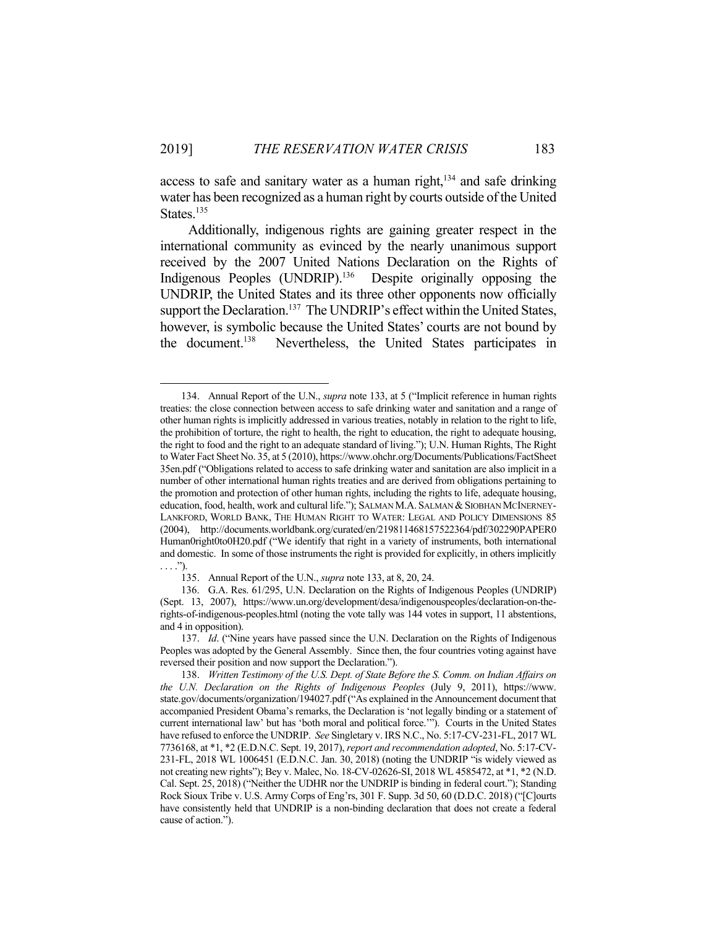access to safe and sanitary water as a human right,<sup>134</sup> and safe drinking water has been recognized as a human right by courts outside of the United States.<sup>135</sup>

 Additionally, indigenous rights are gaining greater respect in the international community as evinced by the nearly unanimous support received by the 2007 United Nations Declaration on the Rights of Indigenous Peoples (UNDRIP).<sup>136</sup> Despite originally opposing the UNDRIP, the United States and its three other opponents now officially support the Declaration.<sup>137</sup> The UNDRIP's effect within the United States, however, is symbolic because the United States' courts are not bound by the document.138 Nevertheless, the United States participates in

 <sup>134.</sup> Annual Report of the U.N., *supra* note 133, at 5 ("Implicit reference in human rights treaties: the close connection between access to safe drinking water and sanitation and a range of other human rights is implicitly addressed in various treaties, notably in relation to the right to life, the prohibition of torture, the right to health, the right to education, the right to adequate housing, the right to food and the right to an adequate standard of living."); U.N. Human Rights, The Right to Water Fact Sheet No. 35, at 5 (2010), https://www.ohchr.org/Documents/Publications/FactSheet 35en.pdf ("Obligations related to access to safe drinking water and sanitation are also implicit in a number of other international human rights treaties and are derived from obligations pertaining to the promotion and protection of other human rights, including the rights to life, adequate housing, education, food, health, work and cultural life."); SALMAN M.A. SALMAN & SIOBHAN MCINERNEY-LANKFORD, WORLD BANK, THE HUMAN RIGHT TO WATER: LEGAL AND POLICY DIMENSIONS 85 (2004), http://documents.worldbank.org/curated/en/219811468157522364/pdf/302290PAPER0 Human0right0to0H20.pdf ("We identify that right in a variety of instruments, both international and domestic. In some of those instruments the right is provided for explicitly, in others implicitly . . . .").

 <sup>135.</sup> Annual Report of the U.N., *supra* note 133, at 8, 20, 24.

 <sup>136.</sup> G.A. Res. 61/295, U.N. Declaration on the Rights of Indigenous Peoples (UNDRIP) (Sept. 13, 2007), https://www.un.org/development/desa/indigenouspeoples/declaration-on-therights-of-indigenous-peoples.html (noting the vote tally was 144 votes in support, 11 abstentions, and 4 in opposition).

 <sup>137.</sup> *Id*. ("Nine years have passed since the U.N. Declaration on the Rights of Indigenous Peoples was adopted by the General Assembly. Since then, the four countries voting against have reversed their position and now support the Declaration.").

 <sup>138.</sup> *Written Testimony of the U.S. Dept. of State Before the S. Comm. on Indian Affairs on the U.N. Declaration on the Rights of Indigenous Peoples* (July 9, 2011), https://www. state.gov/documents/organization/194027.pdf ("As explained in the Announcement document that accompanied President Obama's remarks, the Declaration is 'not legally binding or a statement of current international law' but has 'both moral and political force.'"). Courts in the United States have refused to enforce the UNDRIP. *See* Singletary v. IRS N.C., No. 5:17-CV-231-FL, 2017 WL 7736168, at \*1, \*2 (E.D.N.C. Sept. 19, 2017), *report and recommendation adopted*, No. 5:17-CV-231-FL, 2018 WL 1006451 (E.D.N.C. Jan. 30, 2018) (noting the UNDRIP "is widely viewed as not creating new rights"); Bey v. Malec, No. 18-CV-02626-SI, 2018 WL 4585472, at \*1, \*2 (N.D. Cal. Sept. 25, 2018) ("Neither the UDHR nor the UNDRIP is binding in federal court."); Standing Rock Sioux Tribe v. U.S. Army Corps of Eng'rs, 301 F. Supp. 3d 50, 60 (D.D.C. 2018) ("[C]ourts have consistently held that UNDRIP is a non-binding declaration that does not create a federal cause of action.").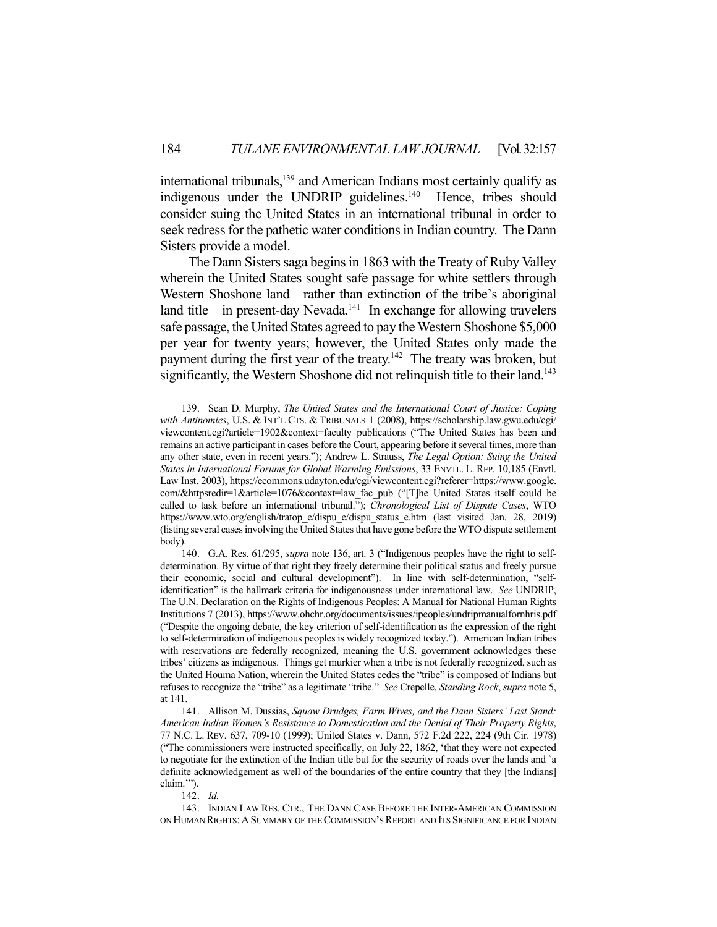international tribunals,<sup>139</sup> and American Indians most certainly qualify as indigenous under the UNDRIP guidelines.<sup>140</sup> Hence, tribes should consider suing the United States in an international tribunal in order to seek redress for the pathetic water conditions in Indian country. The Dann Sisters provide a model.

 The Dann Sisters saga begins in 1863 with the Treaty of Ruby Valley wherein the United States sought safe passage for white settlers through Western Shoshone land—rather than extinction of the tribe's aboriginal land title—in present-day Nevada.<sup>141</sup> In exchange for allowing travelers safe passage, the United States agreed to pay the Western Shoshone \$5,000 per year for twenty years; however, the United States only made the payment during the first year of the treaty.<sup>142</sup> The treaty was broken, but significantly, the Western Shoshone did not relinquish title to their land.<sup>143</sup>

142. *Id.*

<u>.</u>

 <sup>139.</sup> Sean D. Murphy, *The United States and the International Court of Justice: Coping with Antinomies*, U.S. & INT'L CTS. & TRIBUNALS 1 (2008), https://scholarship.law.gwu.edu/cgi/ viewcontent.cgi?article=1902&context=faculty\_publications ("The United States has been and remains an active participant in cases before the Court, appearing before it several times, more than any other state, even in recent years."); Andrew L. Strauss, *The Legal Option: Suing the United States in International Forums for Global Warming Emissions*, 33 ENVTL. L. REP. 10,185 (Envtl. Law Inst. 2003), https://ecommons.udayton.edu/cgi/viewcontent.cgi?referer=https://www.google. com/&httpsredir=1&article=1076&context=law\_fac\_pub ("[T]he United States itself could be called to task before an international tribunal."); *Chronological List of Dispute Cases*, WTO https://www.wto.org/english/tratop\_e/dispu\_e/dispu\_status\_e.htm (last visited Jan. 28, 2019) (listing several cases involving the United States that have gone before the WTO dispute settlement body).

 <sup>140.</sup> G.A. Res. 61/295, *supra* note 136, art. 3 ("Indigenous peoples have the right to selfdetermination. By virtue of that right they freely determine their political status and freely pursue their economic, social and cultural development"). In line with self-determination, "selfidentification" is the hallmark criteria for indigenousness under international law. *See* UNDRIP, The U.N. Declaration on the Rights of Indigenous Peoples: A Manual for National Human Rights Institutions 7 (2013), https://www.ohchr.org/documents/issues/ipeoples/undripmanualfornhris.pdf ("Despite the ongoing debate, the key criterion of self-identification as the expression of the right to self-determination of indigenous peoples is widely recognized today."). American Indian tribes with reservations are federally recognized, meaning the U.S. government acknowledges these tribes' citizens as indigenous. Things get murkier when a tribe is not federally recognized, such as the United Houma Nation, wherein the United States cedes the "tribe" is composed of Indians but refuses to recognize the "tribe" as a legitimate "tribe." *See* Crepelle, *Standing Rock*, *supra* note 5, at 141.

 <sup>141.</sup> Allison M. Dussias, *Squaw Drudges, Farm Wives, and the Dann Sisters' Last Stand: American Indian Women's Resistance to Domestication and the Denial of Their Property Rights*, 77 N.C. L. REV. 637, 709-10 (1999); United States v. Dann, 572 F.2d 222, 224 (9th Cir. 1978) ("The commissioners were instructed specifically, on July 22, 1862, 'that they were not expected to negotiate for the extinction of the Indian title but for the security of roads over the lands and `a definite acknowledgement as well of the boundaries of the entire country that they [the Indians] claim.'").

 <sup>143.</sup> INDIAN LAW RES. CTR., THE DANN CASE BEFORE THE INTER-AMERICAN COMMISSION ON HUMAN RIGHTS: A SUMMARY OF THE COMMISSION'S REPORT AND ITS SIGNIFICANCE FOR INDIAN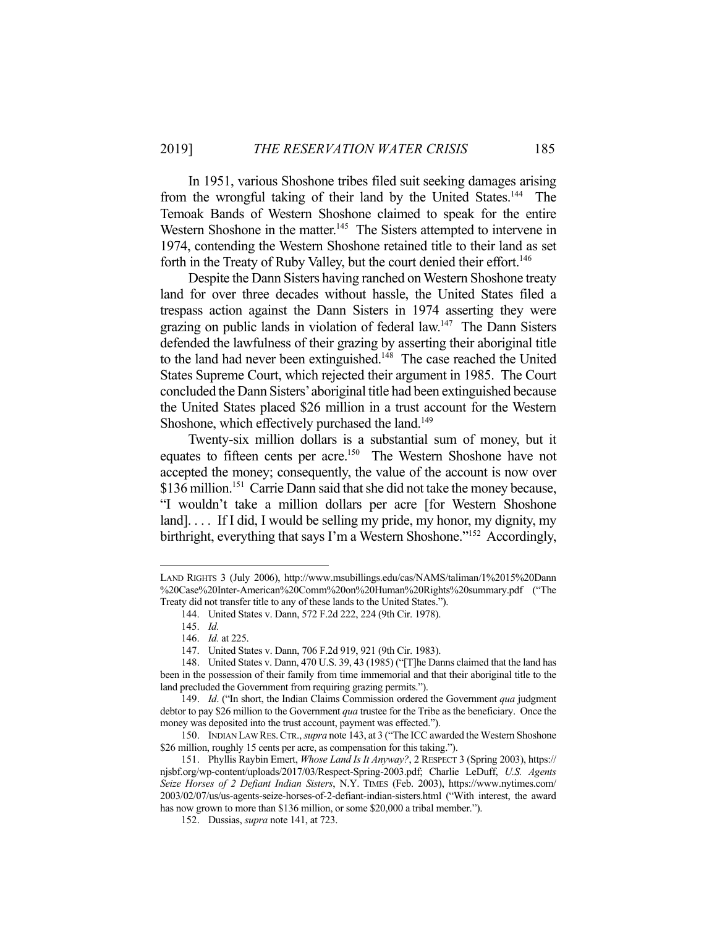In 1951, various Shoshone tribes filed suit seeking damages arising from the wrongful taking of their land by the United States.<sup>144</sup> The Temoak Bands of Western Shoshone claimed to speak for the entire Western Shoshone in the matter.<sup>145</sup> The Sisters attempted to intervene in 1974, contending the Western Shoshone retained title to their land as set forth in the Treaty of Ruby Valley, but the court denied their effort.<sup>146</sup>

 Despite the Dann Sisters having ranched on Western Shoshone treaty land for over three decades without hassle, the United States filed a trespass action against the Dann Sisters in 1974 asserting they were grazing on public lands in violation of federal law.147 The Dann Sisters defended the lawfulness of their grazing by asserting their aboriginal title to the land had never been extinguished.<sup>148</sup> The case reached the United States Supreme Court, which rejected their argument in 1985. The Court concluded the Dann Sisters' aboriginal title had been extinguished because the United States placed \$26 million in a trust account for the Western Shoshone, which effectively purchased the land.<sup>149</sup>

 Twenty-six million dollars is a substantial sum of money, but it equates to fifteen cents per acre.<sup>150</sup> The Western Shoshone have not accepted the money; consequently, the value of the account is now over \$136 million.<sup>151</sup> Carrie Dann said that she did not take the money because, "I wouldn't take a million dollars per acre [for Western Shoshone land].... If I did, I would be selling my pride, my honor, my dignity, my birthright, everything that says I'm a Western Shoshone."<sup>152</sup> Accordingly,

LAND RIGHTS 3 (July 2006), http://www.msubillings.edu/cas/NAMS/taliman/1%2015%20Dann %20Case%20Inter-American%20Comm%20on%20Human%20Rights%20summary.pdf ("The Treaty did not transfer title to any of these lands to the United States.").

 <sup>144.</sup> United States v. Dann, 572 F.2d 222, 224 (9th Cir. 1978).

 <sup>145.</sup> *Id.*

 <sup>146.</sup> *Id.* at 225.

 <sup>147.</sup> United States v. Dann, 706 F.2d 919, 921 (9th Cir. 1983).

 <sup>148.</sup> United States v. Dann, 470 U.S. 39, 43 (1985) ("[T]he Danns claimed that the land has been in the possession of their family from time immemorial and that their aboriginal title to the land precluded the Government from requiring grazing permits.").

 <sup>149.</sup> *Id*. ("In short, the Indian Claims Commission ordered the Government *qua* judgment debtor to pay \$26 million to the Government *qua* trustee for the Tribe as the beneficiary. Once the money was deposited into the trust account, payment was effected.").

 <sup>150.</sup> INDIAN LAW RES.CTR., *supra* note 143, at 3 ("The ICC awarded the Western Shoshone \$26 million, roughly 15 cents per acre, as compensation for this taking.").

 <sup>151.</sup> Phyllis Raybin Emert, *Whose Land Is It Anyway?*, 2 RESPECT 3 (Spring 2003), https:// njsbf.org/wp-content/uploads/2017/03/Respect-Spring-2003.pdf; Charlie LeDuff, *U.S. Agents Seize Horses of 2 Defiant Indian Sisters*, N.Y. TIMES (Feb. 2003), https://www.nytimes.com/ 2003/02/07/us/us-agents-seize-horses-of-2-defiant-indian-sisters.html ("With interest, the award has now grown to more than \$136 million, or some \$20,000 a tribal member.").

 <sup>152.</sup> Dussias, *supra* note 141, at 723.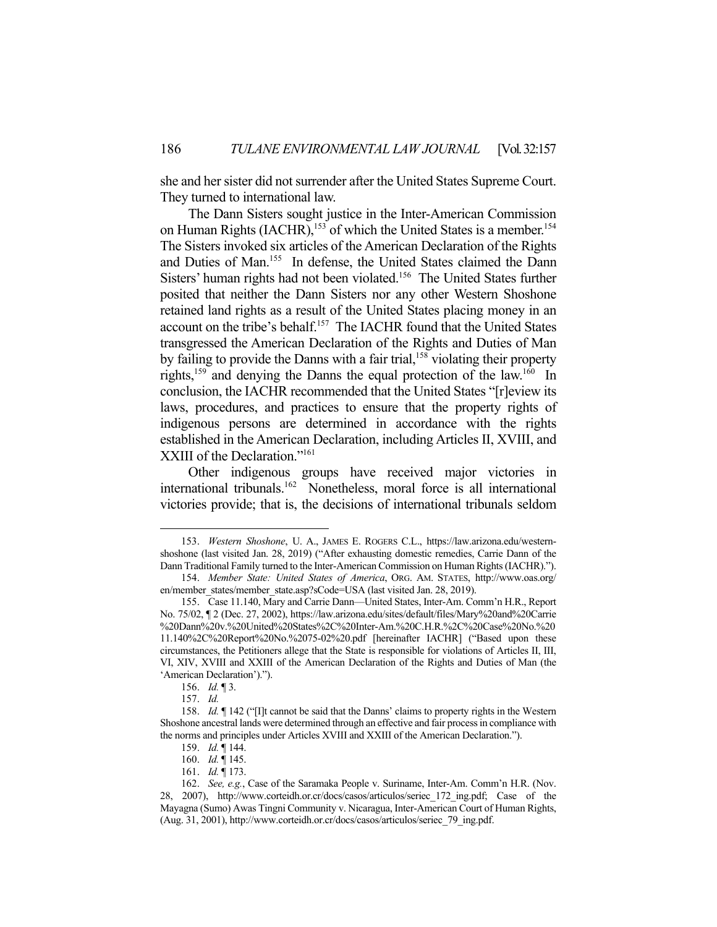she and her sister did not surrender after the United States Supreme Court. They turned to international law.

 The Dann Sisters sought justice in the Inter-American Commission on Human Rights (IACHR),<sup>153</sup> of which the United States is a member.<sup>154</sup> The Sisters invoked six articles of the American Declaration of the Rights and Duties of Man.<sup>155</sup> In defense, the United States claimed the Dann Sisters' human rights had not been violated.<sup>156</sup> The United States further posited that neither the Dann Sisters nor any other Western Shoshone retained land rights as a result of the United States placing money in an account on the tribe's behalf.<sup>157</sup> The IACHR found that the United States transgressed the American Declaration of the Rights and Duties of Man by failing to provide the Danns with a fair trial,<sup>158</sup> violating their property rights,159 and denying the Danns the equal protection of the law.160 In conclusion, the IACHR recommended that the United States "[r]eview its laws, procedures, and practices to ensure that the property rights of indigenous persons are determined in accordance with the rights established in the American Declaration, including Articles II, XVIII, and XXIII of the Declaration."<sup>161</sup>

 Other indigenous groups have received major victories in international tribunals.162 Nonetheless, moral force is all international victories provide; that is, the decisions of international tribunals seldom

 <sup>153.</sup> *Western Shoshone*, U. A., JAMES E. ROGERS C.L., https://law.arizona.edu/westernshoshone (last visited Jan. 28, 2019) ("After exhausting domestic remedies, Carrie Dann of the Dann Traditional Family turned to the Inter-American Commission on Human Rights (IACHR).").

 <sup>154.</sup> *Member State: United States of America*, ORG. AM. STATES, http://www.oas.org/ en/member\_states/member\_state.asp?sCode=USA (last visited Jan. 28, 2019).

 <sup>155.</sup> Case 11.140, Mary and Carrie Dann—United States, Inter-Am. Comm'n H.R., Report No. 75/02, ¶ 2 (Dec. 27, 2002), https://law.arizona.edu/sites/default/files/Mary%20and%20Carrie %20Dann%20v.%20United%20States%2C%20Inter-Am.%20C.H.R.%2C%20Case%20No.%20 11.140%2C%20Report%20No.%2075-02%20.pdf [hereinafter IACHR] ("Based upon these circumstances, the Petitioners allege that the State is responsible for violations of Articles II, III, VI, XIV, XVIII and XXIII of the American Declaration of the Rights and Duties of Man (the 'American Declaration').").

 <sup>156.</sup> *Id.* ¶ 3.

 <sup>157.</sup> *Id.*

 <sup>158.</sup> *Id.* ¶ 142 ("[I]t cannot be said that the Danns' claims to property rights in the Western Shoshone ancestral lands were determined through an effective and fair process in compliance with the norms and principles under Articles XVIII and XXIII of the American Declaration.").

 <sup>159.</sup> *Id.* ¶ 144.

 <sup>160.</sup> *Id.* ¶ 145.

 <sup>161.</sup> *Id.* ¶ 173.

 <sup>162.</sup> *See, e.g.*, Case of the Saramaka People v. Suriname, Inter-Am. Comm'n H.R. (Nov. 28, 2007), http://www.corteidh.or.cr/docs/casos/articulos/seriec\_172\_ing.pdf; Case of the Mayagna (Sumo) Awas Tingni Community v. Nicaragua, Inter-American Court of Human Rights, (Aug. 31, 2001), http://www.corteidh.or.cr/docs/casos/articulos/seriec\_79\_ing.pdf.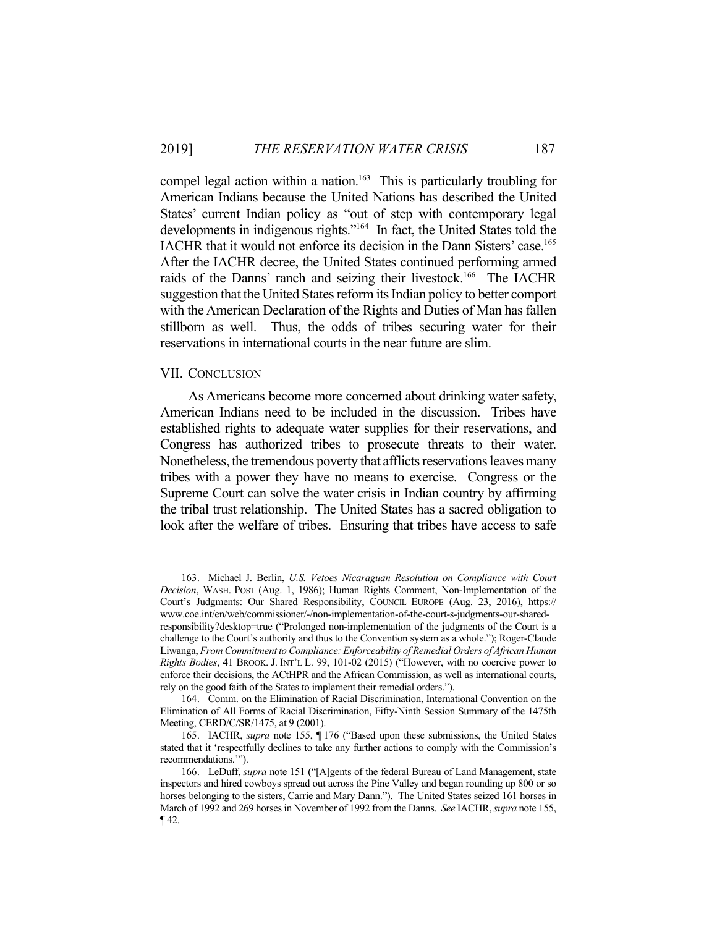compel legal action within a nation.<sup>163</sup> This is particularly troubling for American Indians because the United Nations has described the United States' current Indian policy as "out of step with contemporary legal developments in indigenous rights."164 In fact, the United States told the IACHR that it would not enforce its decision in the Dann Sisters' case.165 After the IACHR decree, the United States continued performing armed raids of the Danns' ranch and seizing their livestock.<sup>166</sup> The IACHR suggestion that the United States reform its Indian policy to better comport with the American Declaration of the Rights and Duties of Man has fallen stillborn as well. Thus, the odds of tribes securing water for their reservations in international courts in the near future are slim.

#### VII. CONCLUSION

1

 As Americans become more concerned about drinking water safety, American Indians need to be included in the discussion. Tribes have established rights to adequate water supplies for their reservations, and Congress has authorized tribes to prosecute threats to their water. Nonetheless, the tremendous poverty that afflicts reservations leaves many tribes with a power they have no means to exercise. Congress or the Supreme Court can solve the water crisis in Indian country by affirming the tribal trust relationship. The United States has a sacred obligation to look after the welfare of tribes. Ensuring that tribes have access to safe

 <sup>163.</sup> Michael J. Berlin, *U.S. Vetoes Nicaraguan Resolution on Compliance with Court Decision*, WASH. POST (Aug. 1, 1986); Human Rights Comment, Non-Implementation of the Court's Judgments: Our Shared Responsibility, COUNCIL EUROPE (Aug. 23, 2016), https:// www.coe.int/en/web/commissioner/-/non-implementation-of-the-court-s-judgments-our-sharedresponsibility?desktop=true ("Prolonged non-implementation of the judgments of the Court is a challenge to the Court's authority and thus to the Convention system as a whole."); Roger-Claude Liwanga, *From Commitment to Compliance: Enforceability of Remedial Orders of African Human Rights Bodies*, 41 BROOK. J. INT'L L. 99, 101-02 (2015) ("However, with no coercive power to enforce their decisions, the ACtHPR and the African Commission, as well as international courts, rely on the good faith of the States to implement their remedial orders.").

 <sup>164.</sup> Comm. on the Elimination of Racial Discrimination, International Convention on the Elimination of All Forms of Racial Discrimination, Fifty-Ninth Session Summary of the 1475th Meeting, CERD/C/SR/1475, at 9 (2001).

 <sup>165.</sup> IACHR, *supra* note 155, ¶ 176 ("Based upon these submissions, the United States stated that it 'respectfully declines to take any further actions to comply with the Commission's recommendations.'").

 <sup>166.</sup> LeDuff, *supra* note 151 ("[A]gents of the federal Bureau of Land Management, state inspectors and hired cowboys spread out across the Pine Valley and began rounding up 800 or so horses belonging to the sisters, Carrie and Mary Dann."). The United States seized 161 horses in March of 1992 and 269 horses in November of 1992 from the Danns. *See* IACHR, *supra* note 155, ¶ 42.